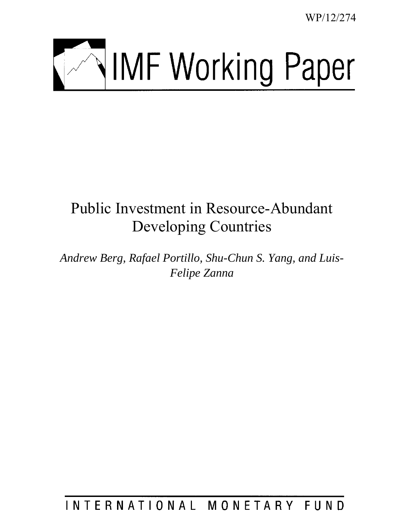WP/12/274



# Public Investment in Resource-Abundant Developing Countries

*Andrew Berg, Rafael Portillo, Shu-Chun S. Yang, and Luis-Felipe Zanna* 

# INTERNATIONAL MONETARY FUND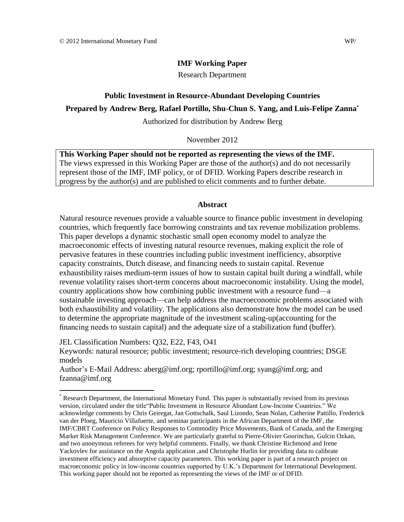## **IMF Working Paper**

Research Department

# **Public Investment in Resource-Abundant Developing Countries Prepared by Andrew Berg, Rafael Portillo, Shu-Chun S. Yang, and Luis-Felipe Zanna\***

Authorized for distribution by Andrew Berg

November 2012

**This Working Paper should not be reported as representing the views of the IMF.** The views expressed in this Working Paper are those of the author(s) and do not necessarily represent those of the IMF, IMF policy, or of DFID. Working Papers describe research in progress by the author(s) and are published to elicit comments and to further debate.

# **Abstract**

Natural resource revenues provide a valuable source to finance public investment in developing countries, which frequently face borrowing constraints and tax revenue mobilization problems. This paper develops a dynamic stochastic small open economy model to analyze the macroeconomic effects of investing natural resource revenues, making explicit the role of pervasive features in these countries including public investment inefficiency, absorptive capacity constraints, Dutch disease, and financing needs to sustain capital. Revenue exhaustibility raises medium-term issues of how to sustain capital built during a windfall, while revenue volatility raises short-term concerns about macroeconomic instability. Using the model, country applications show how combining public investment with a resource fund—a sustainable investing approach—can help address the macroeconomic problems associated with both exhaustibility and volatility. The applications also demonstrate how the model can be used to determine the appropriate magnitude of the investment scaling-up(accounting for the financing needs to sustain capital) and the adequate size of a stabilization fund (buffer).

JEL Classification Numbers: Q32, E22, F43, O41

 $\overline{a}$ 

Keywords: natural resource; public investment; resource-rich developing countries; DSGE models

Author's E-Mail Address: aberg@imf.org; rportillo@imf.org; syang@imf.org; and fzanna@imf.org

<sup>\*</sup> Research Department, the I[nternational Mone](mailto:aberg@imf.org)[tary Fund. This pape](mailto:rportillo@imf.org)[r is substantially re](mailto:syang@imf.org)[vised from its previ](mailto:zanna@imf.org)ous version, circulated under the title"Public Investment in Resource Abundant Low-Income Countries." We acknowledge comments by Chris Geiregat, Jan Gottschalk, Saul Lizondo, Sean Nolan, Catherine Pattillo, Frederick van der Ploeg, Mauricio Villafuerte, and seminar participants in the African Department of the IMF, the IMF/CBRT Conference on Policy Responses to Commodity Price Movements, Bank of Canada, and the Emerging Market Risk Management Conference. We are particularly grateful to Pierre-Olivier Gourinchas, Gulcin Ozkan, and two anonymous referees for very helpful comments. Finally, we thank Christine Richmond and Irene Yackovlev for assistance on the Angola application ,and Christophe Hurlin for providing data to calibrate investment efficiency and absorptive capacity parameters. This working paper is part of a research project on macroeconomic policy in low-income countries supported by U.K.'s Department for International Development. This working paper should not be reported as representing the views of the IMF or of DFID.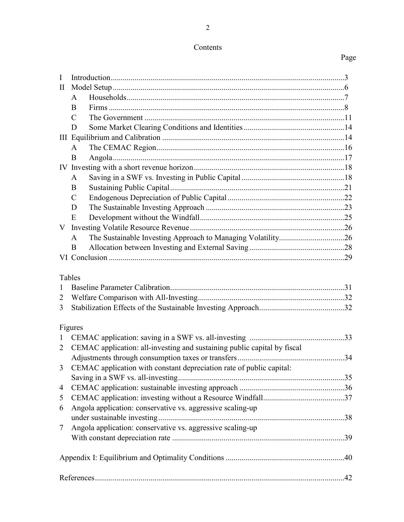# Contents

# Page

| $\bf{I}$                 |                                                                          |  |  |  |  |
|--------------------------|--------------------------------------------------------------------------|--|--|--|--|
| $\mathbf{I}$             |                                                                          |  |  |  |  |
|                          | A                                                                        |  |  |  |  |
|                          | B                                                                        |  |  |  |  |
|                          | C                                                                        |  |  |  |  |
|                          | D                                                                        |  |  |  |  |
|                          |                                                                          |  |  |  |  |
|                          | A                                                                        |  |  |  |  |
|                          | B                                                                        |  |  |  |  |
|                          |                                                                          |  |  |  |  |
|                          | A                                                                        |  |  |  |  |
|                          | B                                                                        |  |  |  |  |
|                          | $\mathcal{C}$                                                            |  |  |  |  |
|                          | D                                                                        |  |  |  |  |
|                          | E                                                                        |  |  |  |  |
| V                        |                                                                          |  |  |  |  |
|                          | A                                                                        |  |  |  |  |
|                          | B                                                                        |  |  |  |  |
|                          |                                                                          |  |  |  |  |
| 1<br>$\overline{2}$<br>3 | Tables                                                                   |  |  |  |  |
|                          | Figures                                                                  |  |  |  |  |
| $\mathbf{1}$             |                                                                          |  |  |  |  |
| 2                        | CEMAC application: all-investing and sustaining public capital by fiscal |  |  |  |  |
|                          |                                                                          |  |  |  |  |
|                          | 3 CEMAC application with constant depreciation rate of public capital:   |  |  |  |  |
|                          |                                                                          |  |  |  |  |
| 4                        |                                                                          |  |  |  |  |
| 5                        |                                                                          |  |  |  |  |
| 6                        | Angola application: conservative vs. aggressive scaling-up               |  |  |  |  |
|                          |                                                                          |  |  |  |  |
| 7                        | Angola application: conservative vs. aggressive scaling-up               |  |  |  |  |
|                          |                                                                          |  |  |  |  |
|                          |                                                                          |  |  |  |  |
|                          |                                                                          |  |  |  |  |
|                          |                                                                          |  |  |  |  |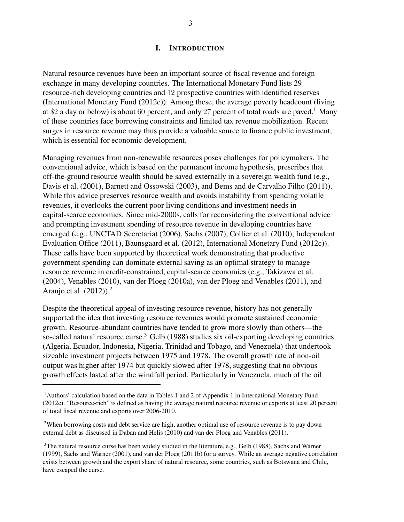# I. INTRODUCTION

Natural resource revenues have been an important source of fiscal revenue and foreign exchange in many developing countries. The International Monetary Fund lists 29 resource-rich developing countries and 12 prospective countries with identified reserves (International Monetary Fund (2012c)). Among these, the average poverty headcount (living at \$2 a day or below) is about 60 percent, and only 27 percent of total roads are paved.<sup>1</sup> Many of these countries face borrowing constraints and limited tax revenue mobilization. Recent surges in resource revenue may thus provide a valuable source to finance public investment, which is essential for economic development.

Managing revenues from non-renewable resources poses challenges for policymakers. The conventional advice, which is based on the permanent income hypothesis, prescribes that off-the-ground resource wealth should be saved externally in a sovereign wealth fund (e.g., Davis et al. (2001), Barnett and Ossowski (2003), and Bems and de Carvalho Filho (2011)). While this advice preserves resource wealth and avoids instability from spending volatile revenues, it overlooks the current poor living conditions and investment needs in capital-scarce economies. Since mid-2000s, calls for reconsidering the conventional advice and prompting investment spending of resource revenue in developing countries have emerged (e.g., UNCTAD Secretariat (2006), Sachs (2007), Collier et al. (2010), Independent Evaluation Office (2011), Baunsgaard et al. (2012), International Monetary Fund (2012c)). These calls have been supported by theoretical work demonstrating that productive government spending can dominate external saving as an optimal strategy to manage resource revenue in credit-constrained, capital-scarce economies (e.g., Takizawa et al. (2004), Venables (2010), van der Ploeg (2010a), van der Ploeg and Venables (2011), and Araujo et al.  $(2012)$ ).<sup>2</sup>

Despite the theoretical appeal of investing resource revenue, history has not generally supported the idea that investing resource revenues would promote sustained economic growth. Resource-abundant countries have tended to grow more slowly than others—the so-called natural resource curse.<sup>3</sup> Gelb (1988) studies six oil-exporting developing countries (Algeria, Ecuador, Indonesia, Nigeria, Trinidad and Tobago, and Venezuela) that undertook sizeable investment projects between 1975 and 1978. The overall growth rate of non-oil output was higher after 1974 but quickly slowed after 1978, suggesting that no obvious growth effects lasted after the windfall period. Particularly in Venezuela, much of the oil

<sup>1</sup>Authors' calculation based on the data in Tables 1 and 2 of Appendix 1 in International Monetary Fund (2012c). "Resource-rich" is defined as having the average natural resource revenue or exports at least 20 percent of total fiscal revenue and exports over 2006-2010.

<sup>2</sup>When borrowing costs and debt service are high, another optimal use of resource revenue is to pay down external debt as discussed in Daban and Helis (2010) and van der Ploeg and Venables (2011).

<sup>&</sup>lt;sup>3</sup>The natural resource curse has been widely studied in the literature, e.g., Gelb (1988), Sachs and Warner (1999), Sachs and Warner (2001), and van der Ploeg (2011b) for a survey. While an average negative correlation exists between growth and the export share of natural resource, some countries, such as Botswana and Chile, have escaped the curse.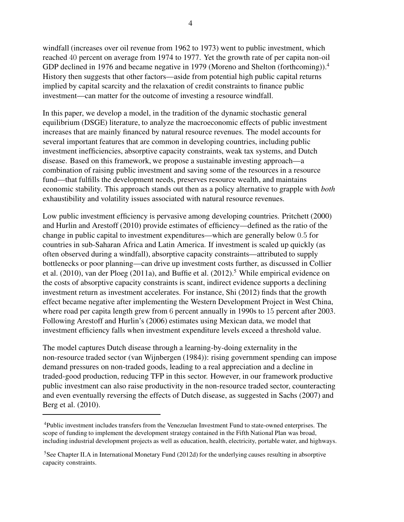windfall (increases over oil revenue from 1962 to 1973) went to public investment, which reached 40 percent on average from 1974 to 1977. Yet the growth rate of per capita non-oil GDP declined in 1976 and became negative in 1979 (Moreno and Shelton (forthcoming)).<sup>4</sup> History then suggests that other factors—aside from potential high public capital returns implied by capital scarcity and the relaxation of credit constraints to finance public investment—can matter for the outcome of investing a resource windfall.

In this paper, we develop a model, in the tradition of the dynamic stochastic general equilibrium (DSGE) literature, to analyze the macroeconomic effects of public investment increases that are mainly financed by natural resource revenues. The model accounts for several important features that are common in developing countries, including public investment inefficiencies, absorptive capacity constraints, weak tax systems, and Dutch disease. Based on this framework, we propose a sustainable investing approach—a combination of raising public investment and saving some of the resources in a resource fund—that fulfills the development needs, preserves resource wealth, and maintains economic stability. This approach stands out then as a policy alternative to grapple with both exhaustibility and volatility issues associated with natural resource revenues.

Low public investment efficiency is pervasive among developing countries. Pritchett (2000) and Hurlin and Arestoff (2010) provide estimates of efficiency—defined as the ratio of the change in public capital to investment expenditures—which are generally below 0.5 for countries in sub-Saharan Africa and Latin America. If investment is scaled up quickly (as often observed during a windfall), absorptive capacity constraints—attributed to supply bottlenecks or poor planning—can drive up investment costs further, as discussed in Collier et al.  $(2010)$ , van der Ploeg  $(2011a)$ , and Buffie et al.  $(2012)$ .<sup>5</sup> While empirical evidence on the costs of absorptive capacity constraints is scant, indirect evidence supports a declining investment return as investment accelerates. For instance, Shi (2012) finds that the growth effect became negative after implementing the Western Development Project in West China, where road per capita length grew from 6 percent annually in 1990s to 15 percent after 2003. Following Arestoff and Hurlin's (2006) estimates using Mexican data, we model that investment efficiency falls when investment expenditure levels exceed a threshold value.

The model captures Dutch disease through a learning-by-doing externality in the non-resource traded sector (van Wijnbergen (1984)): rising government spending can impose demand pressures on non-traded goods, leading to a real appreciation and a decline in traded-good production, reducing TFP in this sector. However, in our framework productive public investment can also raise productivity in the non-resource traded sector, counteracting and even eventually reversing the effects of Dutch disease, as suggested in Sachs (2007) and Berg et al. (2010).

<sup>4</sup>Public investment includes transfers from the Venezuelan Investment Fund to state-owned enterprises. The scope of funding to implement the development strategy contained in the Fifth National Plan was broad, including industrial development projects as well as education, health, electricity, portable water, and highways.

<sup>5</sup>See Chapter II.A in International Monetary Fund (2012d) for the underlying causes resulting in absorptive capacity constraints.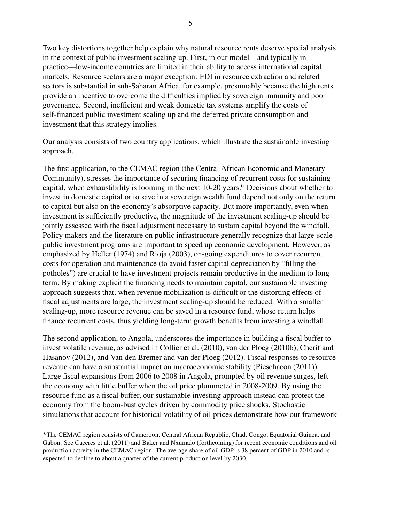Two key distortions together help explain why natural resource rents deserve special analysis in the context of public investment scaling up. First, in our model—and typically in practice—low-income countries are limited in their ability to access international capital markets. Resource sectors are a major exception: FDI in resource extraction and related sectors is substantial in sub-Saharan Africa, for example, presumably because the high rents provide an incentive to overcome the difficulties implied by sovereign immunity and poor governance. Second, inefficient and weak domestic tax systems amplify the costs of self-financed public investment scaling up and the deferred private consumption and investment that this strategy implies.

Our analysis consists of two country applications, which illustrate the sustainable investing approach.

The first application, to the CEMAC region (the Central African Economic and Monetary Community), stresses the importance of securing financing of recurrent costs for sustaining capital, when exhaustibility is looming in the next  $10-20$  years.<sup>6</sup> Decisions about whether to invest in domestic capital or to save in a sovereign wealth fund depend not only on the return to capital but also on the economy's absorptive capacity. But more importantly, even when investment is sufficiently productive, the magnitude of the investment scaling-up should be jointly assessed with the fiscal adjustment necessary to sustain capital beyond the windfall. Policy makers and the literature on public infrastructure generally recognize that large-scale public investment programs are important to speed up economic development. However, as emphasized by Heller (1974) and Rioja (2003), on-going expenditures to cover recurrent costs for operation and maintenance (to avoid faster capital depreciation by "filling the potholes") are crucial to have investment projects remain productive in the medium to long term. By making explicit the financing needs to maintain capital, our sustainable investing approach suggests that, when revenue mobilization is difficult or the distorting effects of fiscal adjustments are large, the investment scaling-up should be reduced. With a smaller scaling-up, more resource revenue can be saved in a resource fund, whose return helps finance recurrent costs, thus yielding long-term growth benefits from investing a windfall.

The second application, to Angola, underscores the importance in building a fiscal buffer to invest volatile revenue, as advised in Collier et al. (2010), van der Ploeg (2010b), Cherif and Hasanov (2012), and Van den Bremer and van der Ploeg (2012). Fiscal responses to resource revenue can have a substantial impact on macroeconomic stability (Pieschacon (2011)). Large fiscal expansions from 2006 to 2008 in Angola, prompted by oil revenue surges, left the economy with little buffer when the oil price plummeted in 2008-2009. By using the resource fund as a fiscal buffer, our sustainable investing approach instead can protect the economy from the boom-bust cycles driven by commodity price shocks. Stochastic simulations that account for historical volatility of oil prices demonstrate how our framework

<sup>6</sup>The CEMAC region consists of Cameroon, Central African Republic, Chad, Congo, Equatorial Guinea, and Gabon. See Caceres et al. (2011) and Baker and Nxumalo (forthcoming) for recent economic conditions and oil production activity in the CEMAC region. The average share of oil GDP is 38 percent of GDP in 2010 and is expected to decline to about a quarter of the current production level by 2030.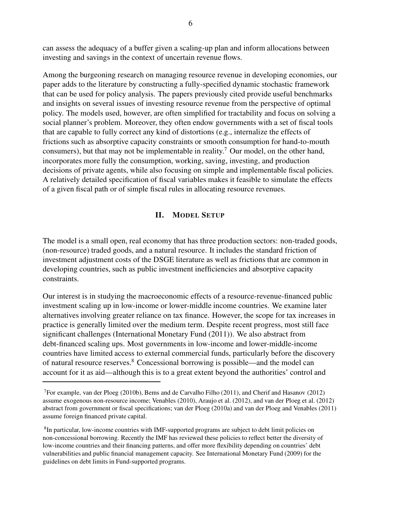can assess the adequacy of a buffer given a scaling-up plan and inform allocations between investing and savings in the context of uncertain revenue flows.

Among the burgeoning research on managing resource revenue in developing economies, our paper adds to the literature by constructing a fully-specified dynamic stochastic framework that can be used for policy analysis. The papers previously cited provide useful benchmarks and insights on several issues of investing resource revenue from the perspective of optimal policy. The models used, however, are often simplified for tractability and focus on solving a social planner's problem. Moreover, they often endow governments with a set of fiscal tools that are capable to fully correct any kind of distortions (e.g., internalize the effects of frictions such as absorptive capacity constraints or smooth consumption for hand-to-mouth consumers), but that may not be implementable in reality.<sup>7</sup> Our model, on the other hand, incorporates more fully the consumption, working, saving, investing, and production decisions of private agents, while also focusing on simple and implementable fiscal policies. A relatively detailed specification of fiscal variables makes it feasible to simulate the effects of a given fiscal path or of simple fiscal rules in allocating resource revenues.

# II. MODEL SETUP

The model is a small open, real economy that has three production sectors: non-traded goods, (non-resource) traded goods, and a natural resource. It includes the standard friction of investment adjustment costs of the DSGE literature as well as frictions that are common in developing countries, such as public investment inefficiencies and absorptive capacity constraints.

Our interest is in studying the macroeconomic effects of a resource-revenue-financed public investment scaling up in low-income or lower-middle income countries. We examine later alternatives involving greater reliance on tax finance. However, the scope for tax increases in practice is generally limited over the medium term. Despite recent progress, most still face significant challenges (International Monetary Fund (2011)). We also abstract from debt-financed scaling ups. Most governments in low-income and lower-middle-income countries have limited access to external commercial funds, particularly before the discovery of natural resource reserves.<sup>8</sup> Concessional borrowing is possible—and the model can account for it as aid—although this is to a great extent beyond the authorities' control and

<sup>&</sup>lt;sup>7</sup>For example, van der Ploeg (2010b), Bems and de Carvalho Filho (2011), and Cherif and Hasanov (2012) assume exogenous non-resource income; Venables (2010), Araujo et al. (2012), and van der Ploeg et al. (2012) abstract from government or fiscal specifications; van der Ploeg (2010a) and van der Ploeg and Venables (2011) assume foreign financed private capital.

<sup>&</sup>lt;sup>8</sup>In particular, low-income countries with IMF-supported programs are subject to debt limit policies on non-concessional borrowing. Recently the IMF has reviewed these policies to reflect better the diversity of low-income countries and their financing patterns, and offer more flexibility depending on countries' debt vulnerabilities and public financial management capacity. See International Monetary Fund (2009) for the guidelines on debt limits in Fund-supported programs.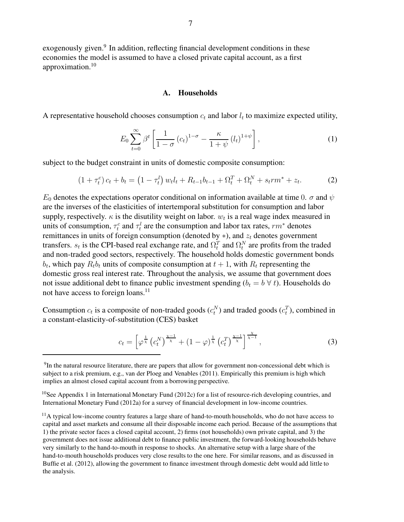exogenously given.<sup>9</sup> In addition, reflecting financial development conditions in these economies the model is assumed to have a closed private capital account, as a first approximation.<sup>10</sup>

#### A. Households

A representative household chooses consumption  $c_t$  and labor  $l_t$  to maximize expected utility,

$$
E_0 \sum_{t=0}^{\infty} \beta^t \left[ \frac{1}{1-\sigma} \left( c_t \right)^{1-\sigma} - \frac{\kappa}{1+\psi} \left( l_t \right)^{1+\psi} \right],\tag{1}
$$

subject to the budget constraint in units of domestic composite consumption:

$$
(1 + \tau_t^c) c_t + b_t = (1 - \tau_t^l) w_t l_t + R_{t-1} b_{t-1} + \Omega_t^T + \Omega_t^N + s_t r m^* + z_t.
$$
 (2)

 $E_0$  denotes the expectations operator conditional on information available at time 0.  $\sigma$  and  $\psi$ are the inverses of the elasticities of intertemporal substitution for consumption and labor supply, respectively.  $\kappa$  is the disutility weight on labor.  $w_t$  is a real wage index measured in units of consumption,  $\tau_t^c$  and  $\tau_t^l$  are the consumption and labor tax rates,  $rm^*$  denotes remittances in units of foreign consumption (denoted by  $*$ ), and  $z_t$  denotes government transfers.  $s_t$  is the CPI-based real exchange rate, and  $\Omega_t^T$  and  $\Omega_t^N$  are profits from the traded and non-traded good sectors, respectively. The household holds domestic government bonds  $b_t$ , which pay  $R_t b_t$  units of composite consumption at  $t + 1$ , with  $R_t$  representing the domestic gross real interest rate. Throughout the analysis, we assume that government does not issue additional debt to finance public investment spending  $(b_t = b \forall t)$ . Households do not have access to foreign loans.<sup>11</sup>

Consumption  $c_t$  is a composite of non-traded goods  $(c_t^N)$  and traded goods  $(c_t^T)$ , combined in a constant-elasticity-of-substitution (CES) basket

$$
c_t = \left[\varphi^{\frac{1}{\chi}}\left(c_t^N\right)^{\frac{\chi-1}{\chi}} + (1-\varphi)^{\frac{1}{\chi}}\left(c_t^T\right)^{\frac{\chi-1}{\chi}}\right]^{\frac{\chi}{\chi-1}},\tag{3}
$$

<sup>&</sup>lt;sup>9</sup>In the natural resource literature, there are papers that allow for government non-concessional debt which is subject to a risk premium, e.g., van der Ploeg and Venables (2011). Empirically this premium is high which implies an almost closed capital account from a borrowing perspective.

<sup>&</sup>lt;sup>10</sup>See Appendix 1 in International Monetary Fund (2012c) for a list of resource-rich developing countries, and International Monetary Fund (2012a) for a survey of financial development in low-income countries.

 $<sup>11</sup>$ A typical low-income country features a large share of hand-to-mouth households, who do not have access to</sup> capital and asset markets and consume all their disposable income each period. Because of the assumptions that 1) the private sector faces a closed capital account, 2) firms (not households) own private capital, and 3) the government does not issue additional debt to finance public investment, the forward-looking households behave very similarly to the hand-to-mouth in response to shocks. An alternative setup with a large share of the hand-to-mouth households produces very close results to the one here. For similar reasons, and as discussed in Buffie et al. (2012), allowing the government to finance investment through domestic debt would add little to the analysis.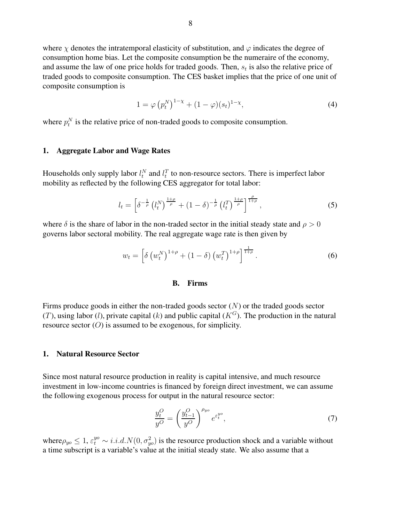where  $\chi$  denotes the intratemporal elasticity of substitution, and  $\varphi$  indicates the degree of consumption home bias. Let the composite consumption be the numeraire of the economy, and assume the law of one price holds for traded goods. Then,  $s_t$  is also the relative price of traded goods to composite consumption. The CES basket implies that the price of one unit of composite consumption is

$$
1 = \varphi \left( p_t^N \right)^{1-\chi} + (1-\varphi)(s_t)^{1-\chi}, \tag{4}
$$

where  $p_t^N$  is the relative price of non-traded goods to composite consumption.

#### 1. Aggregate Labor and Wage Rates

Households only supply labor  $l_t^N$  and  $l_t^T$  to non-resource sectors. There is imperfect labor mobility as reflected by the following CES aggregator for total labor:

$$
l_t = \left[\delta^{-\frac{1}{\rho}} \left(l_t^N\right)^{\frac{1+\rho}{\rho}} + (1-\delta)^{-\frac{1}{\rho}} \left(l_t^T\right)^{\frac{1+\rho}{\rho}}\right]^{\frac{\rho}{1+\rho}},\tag{5}
$$

where  $\delta$  is the share of labor in the non-traded sector in the initial steady state and  $\rho > 0$ governs labor sectoral mobility. The real aggregate wage rate is then given by

$$
w_t = \left[ \delta \left( w_t^N \right)^{1+\rho} + (1-\delta) \left( w_t^T \right)^{1+\rho} \right]^{\frac{1}{1+\rho}}.
$$
 (6)

#### B. Firms

Firms produce goods in either the non-traded goods sector  $(N)$  or the traded goods sector (T), using labor (l), private capital (k) and public capital ( $K<sup>G</sup>$ ). The production in the natural resource sector  $(O)$  is assumed to be exogenous, for simplicity.

#### 1. Natural Resource Sector

Since most natural resource production in reality is capital intensive, and much resource investment in low-income countries is financed by foreign direct investment, we can assume the following exogenous process for output in the natural resource sector:

$$
\frac{y_t^O}{y^O} = \left(\frac{y_{t-1}^O}{y^O}\right)^{\rho_{yo}} e^{\varepsilon_t^{yo}},\tag{7}
$$

where  $\rho_{yo} \leq 1$ ,  $\varepsilon_t^{yo} \sim i.i.d. N(0, \sigma_{yo}^2)$  is the resource production shock and a variable without a time subscript is a variable's value at the initial steady state. We also assume that a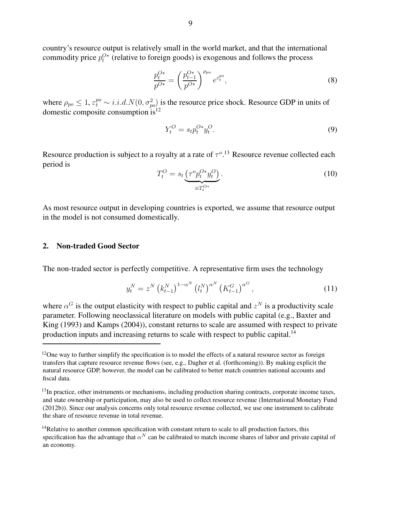country's resource output is relatively small in the world market, and that the international commodity price  $p_t^{O*}$  (relative to foreign goods) is exogenous and follows the process

$$
\frac{p_t^{O*}}{p^{O*}} = \left(\frac{p_{t-1}^{O*}}{p^{O*}}\right)^{\rho_{po}} e^{\varepsilon_t^{po}},\tag{8}
$$

where  $\rho_{po} \leq 1$ ,  $\varepsilon_t^{po} \sim i.i.d. N(0, \sigma_{po}^2)$  is the resource price shock. Resource GDP in units of domestic composite consumption  $is^{12}$ 

$$
Y_t^O = s_t p_t^{O*} y_t^O. \tag{9}
$$

Resource production is subject to a royalty at a rate of  $\tau^o$ .<sup>13</sup> Resource revenue collected each period is

$$
T_t^O = s_t \underbrace{\left(\tau^o p_t^{O*} y_t^O\right)}_{\equiv T_t^{O*}}.\tag{10}
$$

As most resource output in developing countries is exported, we assume that resource output in the model is not consumed domestically.

# 2. Non-traded Good Sector

The non-traded sector is perfectly competitive. A representative firm uses the technology

$$
y_t^N = z^N \left( k_{t-1}^N \right)^{1-\alpha^N} \left( l_t^N \right)^{\alpha^N} \left( K_{t-1}^G \right)^{\alpha^G}, \tag{11}
$$

where  $\alpha^G$  is the output elasticity with respect to public capital and  $z^N$  is a productivity scale parameter. Following neoclassical literature on models with public capital (e.g., Baxter and King (1993) and Kamps (2004)), constant returns to scale are assumed with respect to private production inputs and increasing returns to scale with respect to public capital.<sup>14</sup>

 $12$ One way to further simplify the specification is to model the effects of a natural resource sector as foreign transfers that capture resource revenue flows (see, e.g., Dagher et al. (forthcoming)). By making explicit the natural resource GDP, however, the model can be calibrated to better match countries national accounts and fiscal data.

<sup>&</sup>lt;sup>13</sup>In practice, other instruments or mechanisms, including production sharing contracts, corporate income taxes, and state ownership or participation, may also be used to collect resource revenue (International Monetary Fund (2012b)). Since our analysis concerns only total resource revenue collected, we use one instrument to calibrate the share of resource revenue in total revenue.

<sup>&</sup>lt;sup>14</sup>Relative to another common specification with constant return to scale to all production factors, this specification has the advantage that  $\alpha^N$  can be calibrated to match income shares of labor and private capital of an economy.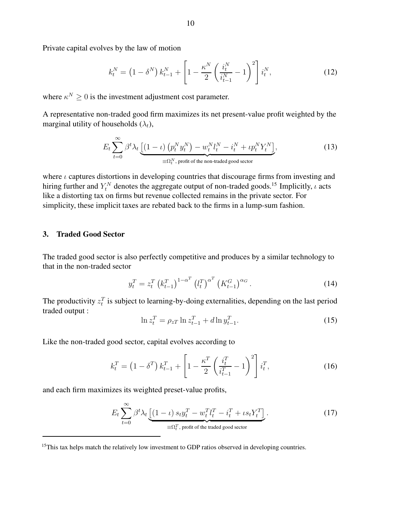Private capital evolves by the law of motion

$$
k_t^N = (1 - \delta^N) k_{t-1}^N + \left[1 - \frac{\kappa^N}{2} \left(\frac{i_t^N}{i_{t-1}^N} - 1\right)^2\right] i_t^N, \tag{12}
$$

where  $\kappa^N \geq 0$  is the investment adjustment cost parameter.

A representative non-traded good firm maximizes its net present-value profit weighted by the marginal utility of households  $(\lambda_t)$ ,

$$
E_t \sum_{t=0}^{\infty} \beta^t \lambda_t \underbrace{\left[ (1-\iota) \left( p_t^N y_t^N \right) - w_t^N l_t^N - i_t^N + \iota p_t^N Y_t^N \right]}_{\equiv \Omega_t^N, \text{ profit of the non-traded good sector}},
$$
\n(13)

where  $\iota$  captures distortions in developing countries that discourage firms from investing and hiring further and  $Y_t^N$  denotes the aggregate output of non-traded goods.<sup>15</sup> Implicitly,  $\iota$  acts like a distorting tax on firms but revenue collected remains in the private sector. For simplicity, these implicit taxes are rebated back to the firms in a lump-sum fashion.

#### 3. Traded Good Sector

The traded good sector is also perfectly competitive and produces by a similar technology to that in the non-traded sector

$$
y_t^T = z_t^T \left( k_{t-1}^T \right)^{1-\alpha^T} \left( l_t^T \right)^{\alpha^T} \left( K_{t-1}^G \right)^{\alpha_G} . \tag{14}
$$

The productivity  $z_t^T$  is subject to learning-by-doing externalities, depending on the last period traded output :

$$
\ln z_t^T = \rho_{zT} \ln z_{t-1}^T + d \ln y_{t-1}^T.
$$
\n(15)

Like the non-traded good sector, capital evolves according to

$$
k_t^T = (1 - \delta^T) k_{t-1}^T + \left[ 1 - \frac{\kappa^T}{2} \left( \frac{i_t^T}{i_{t-1}^T} - 1 \right)^2 \right] i_t^T,
$$
 (16)

and each firm maximizes its weighted preset-value profits,

$$
E_t \sum_{t=0}^{\infty} \beta^t \lambda_t \underbrace{\left[ (1 - \iota) s_t y_t^T - w_t^T l_t^T - i_t^T + \iota s_t Y_t^T \right]}_{\equiv \Omega_t^T, \text{ profit of the traded good sector}}.
$$
 (17)

 $15$ This tax helps match the relatively low investment to GDP ratios observed in developing countries.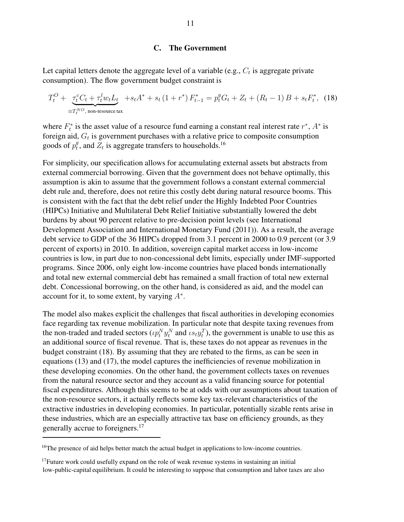# C. The Government

Let capital letters denote the aggregate level of a variable (e.g.,  $C_t$  is aggregate private consumption). The flow government budget constraint is

$$
T_t^O + \underbrace{\tau_t^c C_t + \tau_t^l w_t L_t}_{\equiv T_t^{NO}
$$
, non-resource tax\n
$$
T_t^O = \tau_t^2 C_t + S_t A^* + S_t (1 + r^*) F_{t-1}^* = p_t^g G_t + Z_t + (R_t - 1) B + s_t F_t^*,
$$

where  $F_t^*$ <sup>\*</sup> is the asset value of a resource fund earning a constant real interest rate  $r^*$ ,  $A^*$  is foreign aid,  $G_t$  is government purchases with a relative price to composite consumption goods of  $p_t^g$  $t_t^g$ , and  $Z_t$  is aggregate transfers to households.<sup>16</sup>

For simplicity, our specification allows for accumulating external assets but abstracts from external commercial borrowing. Given that the government does not behave optimally, this assumption is akin to assume that the government follows a constant external commercial debt rule and, therefore, does not retire this costly debt during natural resource booms. This is consistent with the fact that the debt relief under the Highly Indebted Poor Countries (HIPCs) Initiative and Multilateral Debt Relief Initiative substantially lowered the debt burdens by about 90 percent relative to pre-decision point levels (see International Development Association and International Monetary Fund (2011)). As a result, the average debt service to GDP of the 36 HIPCs dropped from 3.1 percent in 2000 to 0.9 percent (or 3.9 percent of exports) in 2010. In addition, sovereign capital market access in low-income countries is low, in part due to non-concessional debt limits, especially under IMF-supported programs. Since 2006, only eight low-income countries have placed bonds internationally and total new external commercial debt has remained a small fraction of total new external debt. Concessional borrowing, on the other hand, is considered as aid, and the model can account for it, to some extent, by varying  $A^*$ .

The model also makes explicit the challenges that fiscal authorities in developing economies face regarding tax revenue mobilization. In particular note that despite taxing revenues from the non-traded and traded sectors  $(\iota p_t^N y_t^N$  and  $\iota s_t y_t^T)$ , the government is unable to use this as an additional source of fiscal revenue. That is, these taxes do not appear as revenues in the budget constraint (18). By assuming that they are rebated to the firms, as can be seen in equations (13) and (17), the model captures the inefficiencies of revenue mobilization in these developing economies. On the other hand, the government collects taxes on revenues from the natural resource sector and they account as a valid financing source for potential fiscal expenditures. Although this seems to be at odds with our assumptions about taxation of the non-resource sectors, it actually reflects some key tax-relevant characteristics of the extractive industries in developing economies. In particular, potentially sizable rents arise in these industries, which are an especially attractive tax base on efficiency grounds, as they generally accrue to foreigners.<sup>17</sup>

<sup>&</sup>lt;sup>16</sup>The presence of aid helps better match the actual budget in applications to low-income countries.

 $17$ Future work could usefully expand on the role of weak revenue systems in sustaining an initial low-public-capital equilibrium. It could be interesting to suppose that consumption and labor taxes are also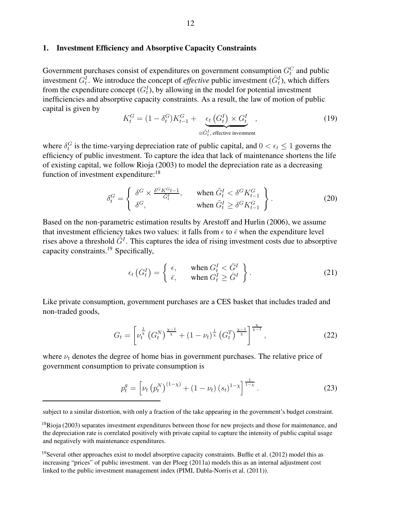## 1. Investment Efficiency and Absorptive Capacity Constraints

Government purchases consist of expenditures on government consumption  $G_t^C$  and public investment  $G_t^I$ . We introduce the concept of *effective* public investment  $(\tilde{G}_t^I)$ , which differs from the expenditure concept  $(G_t^I)$ , by allowing in the model for potential investment inefficiencies and absorptive capacity constraints. As a result, the law of motion of public capital is given by

$$
K_t^G = (1 - \delta_t^G) K_{t-1}^G + \underbrace{\epsilon_t (G_t^I) \times G_t^I}_{\equiv \tilde{G}_t^I, \text{ effective investment}} ,
$$
\n(19)

where  $\delta_t^G$  is the time-varying depreciation rate of public capital, and  $0 < \epsilon_t \le 1$  governs the efficiency of public investment. To capture the idea that lack of maintenance shortens the life of existing capital, we follow Rioja (2003) to model the depreciation rate as a decreasing function of investment expenditure:<sup>18</sup>

$$
\delta_t^G = \begin{cases}\n\delta^G \times \frac{\delta^G K^G t - 1}{\tilde{G}_t^I}, & \text{when } \tilde{G}_t^I < \delta^G K_{t-1}^G \\
\delta^G, & \text{when } \tilde{G}_t^I \ge \delta^G K_{t-1}^G\n\end{cases} \tag{20}
$$

Based on the non-parametric estimation results by Arestoff and Hurlin (2006), we assume that investment efficiency takes two values: it falls from  $\epsilon$  to  $\bar{\epsilon}$  when the expenditure level rises above a threshold  $\bar{G}^I$ . This captures the idea of rising investment costs due to absorptive capacity constraints.<sup>19</sup> Specifically,

$$
\epsilon_t\left(G_t^I\right) = \begin{cases} \epsilon, & \text{when } G_t^I < \bar{G}^I\\ \bar{\epsilon}, & \text{when } G_t^I \ge \bar{G}^I \end{cases} \tag{21}
$$

Like private consumption, government purchases are a CES basket that includes traded and non-traded goods,

$$
G_t = \left[ \nu_t^{\frac{1}{\chi}} \left( G_t^N \right)^{\frac{\chi - 1}{\chi}} + (1 - \nu_t)^{\frac{1}{\chi}} \left( G_t^T \right)^{\frac{\chi - 1}{\chi}} \right]^{\frac{\chi}{\chi - 1}},\tag{22}
$$

where  $\nu_t$  denotes the degree of home bias in government purchases. The relative price of government consumption to private consumption is

$$
p_t^g = \left[ \nu_t \left( p_t^N \right)^{(1-\chi)} + (1 - \nu_t) \left( s_t \right)^{1-\chi} \right]^{\frac{1}{1-\chi}}.
$$
 (23)

subject to a similar distortion, with only a fraction of the take appearing in the government's budget constraint.

<sup>&</sup>lt;sup>18</sup>Rioja (2003) separates investment expenditures between those for new projects and those for maintenance, and the depreciation rate is correlated positively with private capital to capture the intensity of public capital usage and negatively with maintenance expenditures.

<sup>&</sup>lt;sup>19</sup>Several other approaches exist to model absorptive capacity constraints. Buffie et al. (2012) model this as increasing "prices" of public investment. van der Ploeg (2011a) models this as an internal adjustment cost linked to the public investment management index (PIMI, Dabla-Norris et al. (2011)).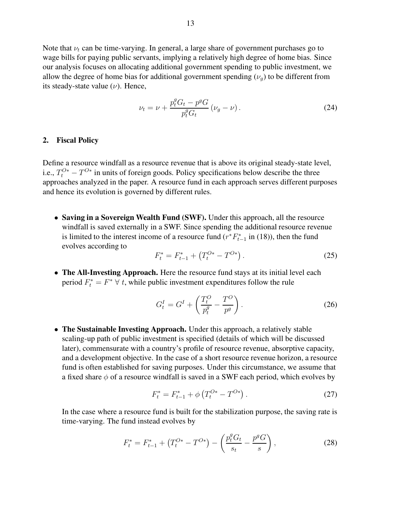Note that  $\nu_t$  can be time-varying. In general, a large share of government purchases go to wage bills for paying public servants, implying a relatively high degree of home bias. Since our analysis focuses on allocating additional government spending to public investment, we allow the degree of home bias for additional government spending  $(\nu_q)$  to be different from its steady-state value  $(\nu)$ . Hence,

$$
\nu_t = \nu + \frac{p_t^g G_t - p^g G}{p_t^g G_t} (\nu_g - \nu).
$$
 (24)

#### 2. Fiscal Policy

Define a resource windfall as a resource revenue that is above its original steady-state level, i.e.,  $T_t^{O*} - T^{O*}$  in units of foreign goods. Policy specifications below describe the three approaches analyzed in the paper. A resource fund in each approach serves different purposes and hence its evolution is governed by different rules.

• Saving in a Sovereign Wealth Fund (SWF). Under this approach, all the resource windfall is saved externally in a SWF. Since spending the additional resource revenue is limited to the interest income of a resource fund  $(r^*F_{t-1}^*$  in (18)), then the fund evolves according to

$$
F_t^* = F_{t-1}^* + \left(T_t^{O*} - T^{O*}\right). \tag{25}
$$

• The All-Investing Approach. Here the resource fund stays at its initial level each period  $F_t^* = F^* \ \forall \ t$ , while public investment expenditures follow the rule

$$
G_t^I = G^I + \left(\frac{T_t^O}{p_t^g} - \frac{T^O}{p^g}\right). \tag{26}
$$

• The Sustainable Investing Approach. Under this approach, a relatively stable scaling-up path of public investment is specified (details of which will be discussed later), commensurate with a country's profile of resource revenue, absorptive capacity, and a development objective. In the case of a short resource revenue horizon, a resource fund is often established for saving purposes. Under this circumstance, we assume that a fixed share  $\phi$  of a resource windfall is saved in a SWF each period, which evolves by

$$
F_t^* = F_{t-1}^* + \phi \left( T_t^{O*} - T^{O*} \right). \tag{27}
$$

In the case where a resource fund is built for the stabilization purpose, the saving rate is time-varying. The fund instead evolves by

$$
F_t^* = F_{t-1}^* + \left(T_t^{O*} - T^{O*}\right) - \left(\frac{p_t^g G_t}{s_t} - \frac{p^g G}{s}\right),\tag{28}
$$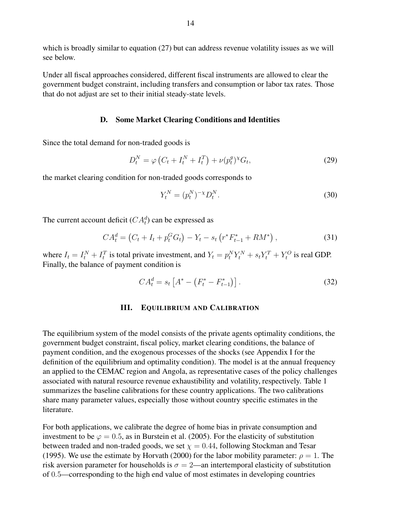which is broadly similar to equation (27) but can address revenue volatility issues as we will see below.

Under all fiscal approaches considered, different fiscal instruments are allowed to clear the government budget constraint, including transfers and consumption or labor tax rates. Those that do not adjust are set to their initial steady-state levels.

#### D. Some Market Clearing Conditions and Identities

Since the total demand for non-traded goods is

$$
D_t^N = \varphi \left( C_t + I_t^N + I_t^T \right) + \nu (p_t^g)^{\chi} G_t, \tag{29}
$$

the market clearing condition for non-traded goods corresponds to

$$
Y_t^N = (p_t^N)^{-\chi} D_t^N.
$$
\n(30)

The current account deficit  $(CA_t^d)$  can be expressed as

$$
CA_t^d = (C_t + I_t + p_t^G G_t) - Y_t - s_t (r^* F_{t-1}^* + RM^*), \qquad (31)
$$

where  $I_t = I_t^N + I_t^T$  is total private investment, and  $Y_t = p_t^N Y_t^N + s_t Y_t^T + Y_t^O$  is real GDP. Finally, the balance of payment condition is

$$
CA_t^d = s_t \left[ A^* - \left( F_t^* - F_{t-1}^* \right) \right]. \tag{32}
$$

# III. EQUILIBRIUM AND CALIBRATION

The equilibrium system of the model consists of the private agents optimality conditions, the government budget constraint, fiscal policy, market clearing conditions, the balance of payment condition, and the exogenous processes of the shocks (see Appendix I for the definition of the equilibrium and optimality condition). The model is at the annual frequency an applied to the CEMAC region and Angola, as representative cases of the policy challenges associated with natural resource revenue exhaustibility and volatility, respectively. Table 1 summarizes the baseline calibrations for these country applications. The two calibrations share many parameter values, especially those without country specific estimates in the literature.

For both applications, we calibrate the degree of home bias in private consumption and investment to be  $\varphi = 0.5$ , as in Burstein et al. (2005). For the elasticity of substitution between traded and non-traded goods, we set  $\chi = 0.44$ , following Stockman and Tesar (1995). We use the estimate by Horvath (2000) for the labor mobility parameter:  $\rho = 1$ . The risk aversion parameter for households is  $\sigma = 2$ —an intertemporal elasticity of substitution of 0.5—corresponding to the high end value of most estimates in developing countries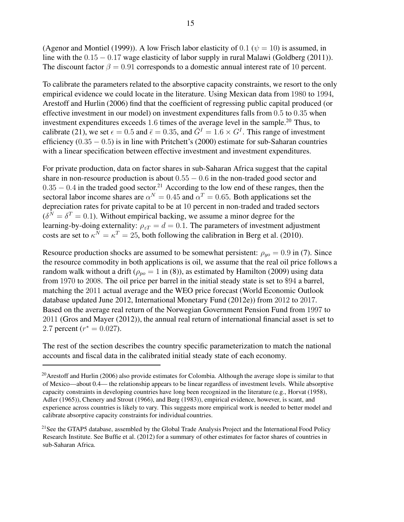(Agenor and Montiel (1999)). A low Frisch labor elasticity of 0.1 ( $\psi = 10$ ) is assumed, in line with the 0.15 − 0.17 wage elasticity of labor supply in rural Malawi (Goldberg (2011)). The discount factor  $\beta = 0.91$  corresponds to a domestic annual interest rate of 10 percent.

To calibrate the parameters related to the absorptive capacity constraints, we resort to the only empirical evidence we could locate in the literature. Using Mexican data from 1980 to 1994, Arestoff and Hurlin (2006) find that the coefficient of regressing public capital produced (or effective investment in our model) on investment expenditures falls from 0.5 to 0.35 when investment expenditures exceeds 1.6 times of the average level in the sample.<sup>20</sup> Thus, to calibrate (21), we set  $\epsilon = 0.5$  and  $\bar{\epsilon} = 0.35$ , and  $\bar{G}^I = 1.6 \times G^I$ . This range of investment efficiency  $(0.35 - 0.5)$  is in line with Pritchett's  $(2000)$  estimate for sub-Saharan countries with a linear specification between effective investment and investment expenditures.

For private production, data on factor shares in sub-Saharan Africa suggest that the capital share in non-resource production is about  $0.55 - 0.6$  in the non-traded good sector and  $0.35 - 0.4$  in the traded good sector.<sup>21</sup> According to the low end of these ranges, then the sectoral labor income shares are  $\alpha^N = 0.45$  and  $\alpha^T = 0.65$ . Both applications set the depreciation rates for private capital to be at 10 percent in non-traded and traded sectors  $(\delta^N = \delta^T = 0.1)$ . Without empirical backing, we assume a minor degree for the learning-by-doing externality:  $\rho_{zT} = d = 0.1$ . The parameters of investment adjustment costs are set to  $\kappa^N = \kappa^T = 25$ , both following the calibration in Berg et al. (2010).

Resource production shocks are assumed to be somewhat persistent:  $\rho_{uo} = 0.9$  in (7). Since the resource commodity in both applications is oil, we assume that the real oil price follows a random walk without a drift ( $\rho_{po} = 1$  in (8)), as estimated by Hamilton (2009) using data from 1970 to 2008. The oil price per barrel in the initial steady state is set to \$94 a barrel, matching the 2011 actual average and the WEO price forecast (World Economic Outlook database updated June 2012, International Monetary Fund (2012e)) from 2012 to 2017. Based on the average real return of the Norwegian Government Pension Fund from 1997 to 2011 (Gros and Mayer (2012)), the annual real return of international financial asset is set to 2.7 percent ( $r^* = 0.027$ ).

The rest of the section describes the country specific parameterization to match the national accounts and fiscal data in the calibrated initial steady state of each economy.

 $^{20}$ Arestoff and Hurlin (2006) also provide estimates for Colombia. Although the average slope is similar to that of Mexico—about 0.4— the relationship appears to be linear regardless of investment levels. While absorptive capacity constraints in developing countries have long been recognized in the literature (e.g., Horvat (1958), Adler (1965)), Chenery and Strout (1966), and Berg (1983)), empirical evidence, however, is scant, and experience across countries is likely to vary. This suggests more empirical work is needed to better model and calibrate absorptive capacity constraints for individual countries.

<sup>&</sup>lt;sup>21</sup>See the GTAP5 database, assembled by the Global Trade Analysis Project and the International Food Policy Research Institute. See Buffie et al. (2012) for a summary of other estimates for factor shares of countries in sub-Saharan Africa.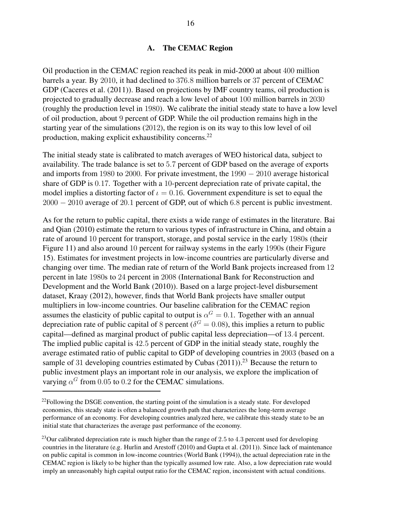# A. The CEMAC Region

Oil production in the CEMAC region reached its peak in mid-2000 at about 400 million barrels a year. By 2010, it had declined to 376.8 million barrels or 37 percent of CEMAC GDP (Caceres et al. (2011)). Based on projections by IMF country teams, oil production is projected to gradually decrease and reach a low level of about 100 million barrels in 2030 (roughly the production level in 1980). We calibrate the initial steady state to have a low level of oil production, about 9 percent of GDP. While the oil production remains high in the starting year of the simulations (2012), the region is on its way to this low level of oil production, making explicit exhaustibility concerns.<sup>22</sup>

The initial steady state is calibrated to match averages of WEO historical data, subject to availability. The trade balance is set to 5.7 percent of GDP based on the average of exports and imports from 1980 to 2000. For private investment, the 1990 − 2010 average historical share of GDP is 0.17. Together with a 10-percent depreciation rate of private capital, the model implies a distorting factor of  $\iota = 0.16$ . Government expenditure is set to equal the 2000 − 2010 average of 20.1 percent of GDP, out of which 6.8 percent is public investment.

As for the return to public capital, there exists a wide range of estimates in the literature. Bai and Qian (2010) estimate the return to various types of infrastructure in China, and obtain a rate of around 10 percent for transport, storage, and postal service in the early 1980s (their Figure 11) and also around 10 percent for railway systems in the early 1990s (their Figure 15). Estimates for investment projects in low-income countries are particularly diverse and changing over time. The median rate of return of the World Bank projects increased from 12 percent in late 1980s to 24 percent in 2008 (International Bank for Reconstruction and Development and the World Bank (2010)). Based on a large project-level disbursement dataset, Kraay (2012), however, finds that World Bank projects have smaller output multipliers in low-income countries. Our baseline calibration for the CEMAC region assumes the elasticity of public capital to output is  $\alpha^G = 0.1$ . Together with an annual depreciation rate of public capital of 8 percent ( $\delta^G = 0.08$ ), this implies a return to public capital—defined as marginal product of public capital less depreciation—of 13.4 percent. The implied public capital is 42.5 percent of GDP in the initial steady state, roughly the average estimated ratio of public capital to GDP of developing countries in 2003 (based on a sample of 31 developing countries estimated by Cubas  $(2011)$ ).<sup>23</sup> Because the return to public investment plays an important role in our analysis, we explore the implication of varying  $\alpha^G$  from 0.05 to 0.2 for the CEMAC simulations.

 $22$ Following the DSGE convention, the starting point of the simulation is a steady state. For developed economies, this steady state is often a balanced growth path that characterizes the long-term average performance of an economy. For developing countries analyzed here, we calibrate this steady state to be an initial state that characterizes the average past performance of the economy.

<sup>&</sup>lt;sup>23</sup>Our calibrated depreciation rate is much higher than the range of 2.5 to 4.3 percent used for developing countries in the literature (e.g. Hurlin and Arestoff (2010) and Gupta et al. (2011)). Since lack of maintenance on public capital is common in low-income countries (World Bank (1994)), the actual depreciation rate in the CEMAC region is likely to be higher than the typically assumed low rate. Also, a low depreciation rate would imply an unreasonably high capital output ratio for the CEMAC region, inconsistent with actual conditions.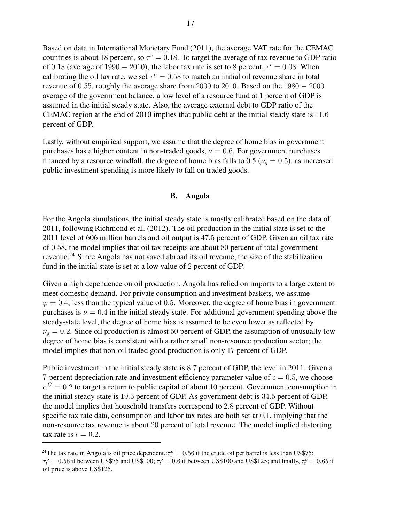Based on data in International Monetary Fund (2011), the average VAT rate for the CEMAC countries is about 18 percent, so  $\tau^c = 0.18$ . To target the average of tax revenue to GDP ratio of 0.18 (average of 1990 – 2010), the labor tax rate is set to 8 percent,  $\tau^l = 0.08$ . When calibrating the oil tax rate, we set  $\tau^{\circ} = 0.58$  to match an initial oil revenue share in total revenue of 0.55, roughly the average share from 2000 to 2010. Based on the  $1980 - 2000$ average of the government balance, a low level of a resource fund at 1 percent of GDP is assumed in the initial steady state. Also, the average external debt to GDP ratio of the CEMAC region at the end of 2010 implies that public debt at the initial steady state is 11.6 percent of GDP.

Lastly, without empirical support, we assume that the degree of home bias in government purchases has a higher content in non-traded goods,  $\nu = 0.6$ . For government purchases financed by a resource windfall, the degree of home bias falls to 0.5 ( $\nu_q = 0.5$ ), as increased public investment spending is more likely to fall on traded goods.

## B. Angola

For the Angola simulations, the initial steady state is mostly calibrated based on the data of 2011, following Richmond et al. (2012). The oil production in the initial state is set to the 2011 level of 606 million barrels and oil output is 47.5 percent of GDP. Given an oil tax rate of 0.58, the model implies that oil tax receipts are about 80 percent of total government revenue.<sup>24</sup> Since Angola has not saved abroad its oil revenue, the size of the stabilization fund in the initial state is set at a low value of 2 percent of GDP.

Given a high dependence on oil production, Angola has relied on imports to a large extent to meet domestic demand. For private consumption and investment baskets, we assume  $\varphi = 0.4$ , less than the typical value of 0.5. Moreover, the degree of home bias in government purchases is  $\nu = 0.4$  in the initial steady state. For additional government spending above the steady-state level, the degree of home bias is assumed to be even lower as reflected by  $\nu_g = 0.2$ . Since oil production is almost 50 percent of GDP, the assumption of unusually low degree of home bias is consistent with a rather small non-resource production sector; the model implies that non-oil traded good production is only 17 percent of GDP.

Public investment in the initial steady state is 8.7 percent of GDP, the level in 2011. Given a 7-percent depreciation rate and investment efficiency parameter value of  $\epsilon = 0.5$ , we choose  $\alpha^G = 0.2$  to target a return to public capital of about 10 percent. Government consumption in the initial steady state is 19.5 percent of GDP. As government debt is 34.5 percent of GDP, the model implies that household transfers correspond to 2.8 percent of GDP. Without specific tax rate data, consumption and labor tax rates are both set at 0.1, implying that the non-resource tax revenue is about 20 percent of total revenue. The model implied distorting tax rate is  $\iota = 0.2$ .

<sup>&</sup>lt;sup>24</sup>The tax rate in Angola is oil price dependent.: $\tau_t^o = 0.56$  if the crude oil per barrel is less than US\$75;

 $\tau_t^o = 0.58$  if between US\$75 and US\$100;  $\tau_t^o = 0.6$  if between US\$100 and US\$125; and finally,  $\tau_t^o = 0.65$  if oil price is above US\$125.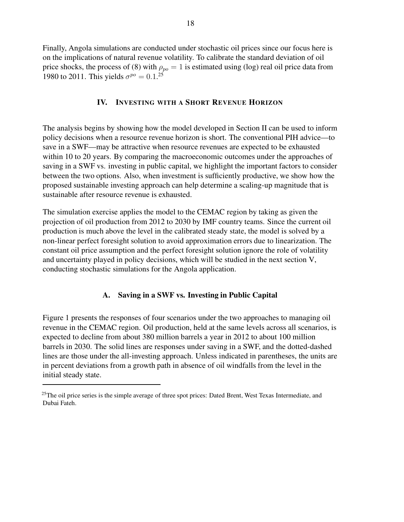Finally, Angola simulations are conducted under stochastic oil prices since our focus here is on the implications of natural revenue volatility. To calibrate the standard deviation of oil price shocks, the process of (8) with  $\rho_{po} = 1$  is estimated using (log) real oil price data from 1980 to 2011. This yields  $\sigma^{po} = 0.1$ <sup>25</sup>

# IV. INVESTING WITH A SHORT REVENUE HORIZON

The analysis begins by showing how the model developed in Section II can be used to inform policy decisions when a resource revenue horizon is short. The conventional PIH advice—to save in a SWF—may be attractive when resource revenues are expected to be exhausted within 10 to 20 years. By comparing the macroeconomic outcomes under the approaches of saving in a SWF vs. investing in public capital, we highlight the important factors to consider between the two options. Also, when investment is sufficiently productive, we show how the proposed sustainable investing approach can help determine a scaling-up magnitude that is sustainable after resource revenue is exhausted.

The simulation exercise applies the model to the CEMAC region by taking as given the projection of oil production from 2012 to 2030 by IMF country teams. Since the current oil production is much above the level in the calibrated steady state, the model is solved by a non-linear perfect foresight solution to avoid approximation errors due to linearization. The constant oil price assumption and the perfect foresight solution ignore the role of volatility and uncertainty played in policy decisions, which will be studied in the next section V, conducting stochastic simulations for the Angola application.

# A. Saving in a SWF vs. Investing in Public Capital

Figure 1 presents the responses of four scenarios under the two approaches to managing oil revenue in the CEMAC region. Oil production, held at the same levels across all scenarios, is expected to decline from about 380 million barrels a year in 2012 to about 100 million barrels in 2030. The solid lines are responses under saving in a SWF, and the dotted-dashed lines are those under the all-investing approach. Unless indicated in parentheses, the units are in percent deviations from a growth path in absence of oil windfalls from the level in the initial steady state.

 $^{25}$ The oil price series is the simple average of three spot prices: Dated Brent, West Texas Intermediate, and Dubai Fateh.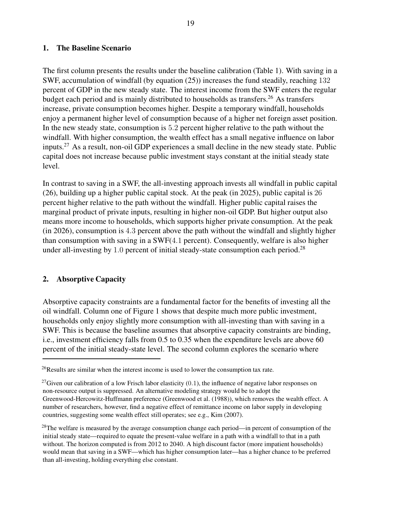# 1. The Baseline Scenario

The first column presents the results under the baseline calibration (Table 1). With saving in a SWF, accumulation of windfall (by equation (25)) increases the fund steadily, reaching 132 percent of GDP in the new steady state. The interest income from the SWF enters the regular budget each period and is mainly distributed to households as transfers.<sup>26</sup> As transfers increase, private consumption becomes higher. Despite a temporary windfall, households enjoy a permanent higher level of consumption because of a higher net foreign asset position. In the new steady state, consumption is 5.2 percent higher relative to the path without the windfall. With higher consumption, the wealth effect has a small negative influence on labor inputs.<sup>27</sup> As a result, non-oil GDP experiences a small decline in the new steady state. Public capital does not increase because public investment stays constant at the initial steady state level.

In contrast to saving in a SWF, the all-investing approach invests all windfall in public capital (26), building up a higher public capital stock. At the peak (in 2025), public capital is 26 percent higher relative to the path without the windfall. Higher public capital raises the marginal product of private inputs, resulting in higher non-oil GDP. But higher output also means more income to households, which supports higher private consumption. At the peak (in 2026), consumption is 4.3 percent above the path without the windfall and slightly higher than consumption with saving in a SWF(4.1 percent). Consequently, welfare is also higher under all-investing by  $1.0$  percent of initial steady-state consumption each period.<sup>28</sup>

# 2. Absorptive Capacity

Absorptive capacity constraints are a fundamental factor for the benefits of investing all the oil windfall. Column one of Figure 1 shows that despite much more public investment, households only enjoy slightly more consumption with all-investing than with saving in a SWF. This is because the baseline assumes that absorptive capacity constraints are binding, i.e., investment efficiency falls from 0.5 to 0.35 when the expenditure levels are above 60 percent of the initial steady-state level. The second column explores the scenario where

 $26$ Results are similar when the interest income is used to lower the consumption tax rate.

<sup>&</sup>lt;sup>27</sup>Given our calibration of a low Frisch labor elasticity  $(0.1)$ , the influence of negative labor responses on non-resource output is suppressed. An alternative modeling strategy would be to adopt the Greenwood-Hercowitz-Huffmann preference (Greenwood et al. (1988)), which removes the wealth effect. A number of researchers, however, find a negative effect of remittance income on labor supply in developing countries, suggesting some wealth effect still operates; see e.g., Kim (2007).

 $^{28}$ The welfare is measured by the average consumption change each period—in percent of consumption of the initial steady state—required to equate the present-value welfare in a path with a windfall to that in a path without. The horizon computed is from 2012 to 2040. A high discount factor (more impatient households) would mean that saving in a SWF—which has higher consumption later—has a higher chance to be preferred than all-investing, holding everything else constant.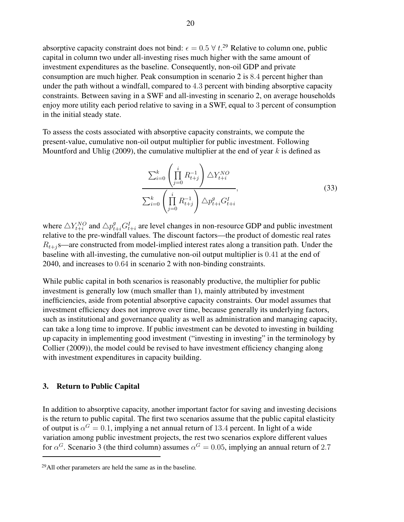absorptive capacity constraint does not bind:  $\epsilon = 0.5 \forall t.^{29}$  Relative to column one, public capital in column two under all-investing rises much higher with the same amount of investment expenditures as the baseline. Consequently, non-oil GDP and private consumption are much higher. Peak consumption in scenario 2 is 8.4 percent higher than under the path without a windfall, compared to 4.3 percent with binding absorptive capacity constraints. Between saving in a SWF and all-investing in scenario 2, on average households enjoy more utility each period relative to saving in a SWF, equal to 3 percent of consumption in the initial steady state.

To assess the costs associated with absorptive capacity constraints, we compute the present-value, cumulative non-oil output multiplier for public investment. Following Mountford and Uhlig (2009), the cumulative multiplier at the end of year  $k$  is defined as

$$
\frac{\sum_{i=0}^{k} \left( \prod_{j=0}^{i} R_{t+j}^{-1} \right) \Delta Y_{t+i}^{NO}}{\sum_{i=0}^{k} \left( \prod_{j=0}^{i} R_{t+j}^{-1} \right) \Delta p_{t+i}^{g} G_{t+i}^{I}},
$$
\n(33)

where  $\triangle Y_{t+i}^{NO}$  and  $\triangle p_{t+i}^g G_{t+i}^I$  are level changes in non-resource GDP and public investment relative to the pre-windfall values. The discount factors—the product of domestic real rates  $R_{t+j}$ s—are constructed from model-implied interest rates along a transition path. Under the baseline with all-investing, the cumulative non-oil output multiplier is 0.41 at the end of 2040, and increases to 0.64 in scenario 2 with non-binding constraints.

While public capital in both scenarios is reasonably productive, the multiplier for public investment is generally low (much smaller than 1), mainly attributed by investment inefficiencies, aside from potential absorptive capacity constraints. Our model assumes that investment efficiency does not improve over time, because generally its underlying factors, such as institutional and governance quality as well as administration and managing capacity, can take a long time to improve. If public investment can be devoted to investing in building up capacity in implementing good investment ("investing in investing" in the terminology by Collier (2009)), the model could be revised to have investment efficiency changing along with investment expenditures in capacity building.

#### 3. Return to Public Capital

In addition to absorptive capacity, another important factor for saving and investing decisions is the return to public capital. The first two scenarios assume that the public capital elasticity of output is  $\alpha^G = 0.1$ , implying a net annual return of 13.4 percent. In light of a wide variation among public investment projects, the rest two scenarios explore different values for  $\alpha^G$ . Scenario 3 (the third column) assumes  $\alpha^G = 0.05$ , implying an annual return of 2.7

 $^{29}$ All other parameters are held the same as in the baseline.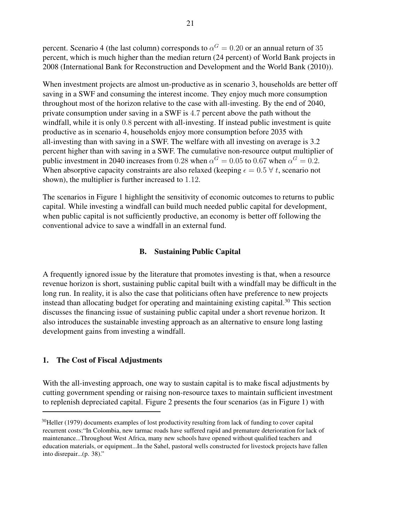percent. Scenario 4 (the last column) corresponds to  $\alpha^G = 0.20$  or an annual return of 35 percent, which is much higher than the median return (24 percent) of World Bank projects in 2008 (International Bank for Reconstruction and Development and the World Bank (2010)).

When investment projects are almost un-productive as in scenario 3, households are better off saving in a SWF and consuming the interest income. They enjoy much more consumption throughout most of the horizon relative to the case with all-investing. By the end of 2040, private consumption under saving in a SWF is 4.7 percent above the path without the windfall, while it is only 0.8 percent with all-investing. If instead public investment is quite productive as in scenario 4, households enjoy more consumption before 2035 with all-investing than with saving in a SWF. The welfare with all investing on average is 3.2 percent higher than with saving in a SWF. The cumulative non-resource output multiplier of public investment in 2040 increases from 0.28 when  $\alpha^G = 0.05$  to 0.67 when  $\alpha^G = 0.2$ . When absorptive capacity constraints are also relaxed (keeping  $\epsilon = 0.5 \forall t$ , scenario not shown), the multiplier is further increased to 1.12.

The scenarios in Figure 1 highlight the sensitivity of economic outcomes to returns to public capital. While investing a windfall can build much needed public capital for development, when public capital is not sufficiently productive, an economy is better off following the conventional advice to save a windfall in an external fund.

# B. Sustaining Public Capital

A frequently ignored issue by the literature that promotes investing is that, when a resource revenue horizon is short, sustaining public capital built with a windfall may be difficult in the long run. In reality, it is also the case that politicians often have preference to new projects instead than allocating budget for operating and maintaining existing capital.<sup>30</sup> This section discusses the financing issue of sustaining public capital under a short revenue horizon. It also introduces the sustainable investing approach as an alternative to ensure long lasting development gains from investing a windfall.

# 1. The Cost of Fiscal Adjustments

With the all-investing approach, one way to sustain capital is to make fiscal adjustments by cutting government spending or raising non-resource taxes to maintain sufficient investment to replenish depreciated capital. Figure 2 presents the four scenarios (as in Figure 1) with

 $30$ Heller (1979) documents examples of lost productivity resulting from lack of funding to cover capital recurrent costs:"In Colombia, new tarmac roads have suffered rapid and premature deterioration for lack of maintenance...Throughout West Africa, many new schools have opened without qualified teachers and education materials, or equipment...In the Sahel, pastoral wells constructed for livestock projects have fallen into disrepair...(p. 38)."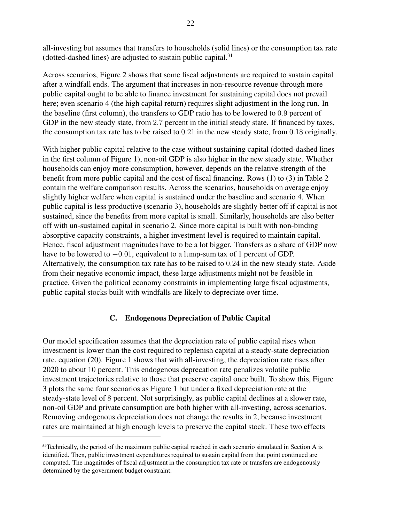all-investing but assumes that transfers to households (solid lines) or the consumption tax rate (dotted-dashed lines) are adjusted to sustain public capital. $31$ 

Across scenarios, Figure 2 shows that some fiscal adjustments are required to sustain capital after a windfall ends. The argument that increases in non-resource revenue through more public capital ought to be able to finance investment for sustaining capital does not prevail here; even scenario 4 (the high capital return) requires slight adjustment in the long run. In the baseline (first column), the transfers to GDP ratio has to be lowered to 0.9 percent of GDP in the new steady state, from 2.7 percent in the initial steady state. If financed by taxes, the consumption tax rate has to be raised to 0.21 in the new steady state, from 0.18 originally.

With higher public capital relative to the case without sustaining capital (dotted-dashed lines in the first column of Figure 1), non-oil GDP is also higher in the new steady state. Whether households can enjoy more consumption, however, depends on the relative strength of the benefit from more public capital and the cost of fiscal financing. Rows (1) to (3) in Table 2 contain the welfare comparison results. Across the scenarios, households on average enjoy slightly higher welfare when capital is sustained under the baseline and scenario 4. When public capital is less productive (scenario 3), households are slightly better off if capital is not sustained, since the benefits from more capital is small. Similarly, households are also better off with un-sustained capital in scenario 2. Since more capital is built with non-binding absorptive capacity constraints, a higher investment level is required to maintain capital. Hence, fiscal adjustment magnitudes have to be a lot bigger. Transfers as a share of GDP now have to be lowered to  $-0.01$ , equivalent to a lump-sum tax of 1 percent of GDP. Alternatively, the consumption tax rate has to be raised to 0.24 in the new steady state. Aside from their negative economic impact, these large adjustments might not be feasible in practice. Given the political economy constraints in implementing large fiscal adjustments, public capital stocks built with windfalls are likely to depreciate over time.

# C. Endogenous Depreciation of Public Capital

Our model specification assumes that the depreciation rate of public capital rises when investment is lower than the cost required to replenish capital at a steady-state depreciation rate, equation (20). Figure 1 shows that with all-investing, the depreciation rate rises after 2020 to about 10 percent. This endogenous deprecation rate penalizes volatile public investment trajectories relative to those that preserve capital once built. To show this, Figure 3 plots the same four scenarios as Figure 1 but under a fixed depreciation rate at the steady-state level of 8 percent. Not surprisingly, as public capital declines at a slower rate, non-oil GDP and private consumption are both higher with all-investing, across scenarios. Removing endogenous depreciation does not change the results in 2, because investment rates are maintained at high enough levels to preserve the capital stock. These two effects

 $31$ Technically, the period of the maximum public capital reached in each scenario simulated in Section A is identified. Then, public investment expenditures required to sustain capital from that point continued are computed. The magnitudes of fiscal adjustment in the consumption tax rate or transfers are endogenously determined by the government budget constraint.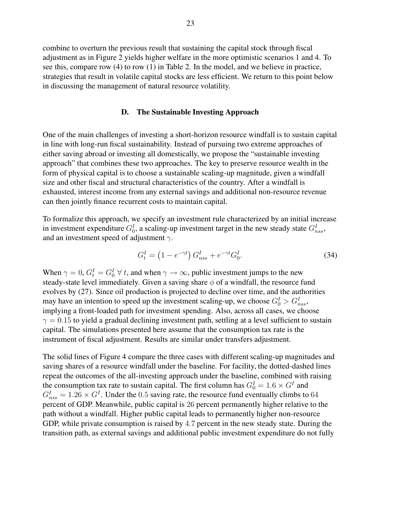combine to overturn the previous result that sustaining the capital stock through fiscal adjustment as in Figure 2 yields higher welfare in the more optimistic scenarios 1 and 4. To see this, compare row (4) to row (1) in Table 2. In the model, and we believe in practice, strategies that result in volatile capital stocks are less efficient. We return to this point below in discussing the management of natural resource volatility.

# D. The Sustainable Investing Approach

One of the main challenges of investing a short-horizon resource windfall is to sustain capital in line with long-run fiscal sustainability. Instead of pursuing two extreme approaches of either saving abroad or investing all domestically, we propose the "sustainable investing approach" that combines these two approaches. The key to preserve resource wealth in the form of physical capital is to choose a sustainable scaling-up magnitude, given a windfall size and other fiscal and structural characteristics of the country. After a windfall is exhausted, interest income from any external savings and additional non-resource revenue can then jointly finance recurrent costs to maintain capital.

To formalize this approach, we specify an investment rule characterized by an initial increase in investment expenditure  $G_0^I$ , a scaling-up investment target in the new steady state  $G_{nss}^I$ , and an investment speed of adjustment  $\gamma$ .

$$
G_t^I = (1 - e^{-\gamma t}) G_{nss}^I + e^{-\gamma t} G_0^I.
$$
 (34)

When  $\gamma = 0$ ,  $G_t^I = G_0^I \ \forall t$ , and when  $\gamma \to \infty$ , public investment jumps to the new steady-state level immediately. Given a saving share  $\phi$  of a windfall, the resource fund evolves by (27). Since oil production is projected to decline over time, and the authorities may have an intention to speed up the investment scaling-up, we choose  $G_0^I > G_{nss}^I$ , implying a front-loaded path for investment spending. Also, across all cases, we choose  $\gamma = 0.15$  to yield a gradual declining investment path, settling at a level sufficient to sustain capital. The simulations presented here assume that the consumption tax rate is the instrument of fiscal adjustment. Results are similar under transfers adjustment.

The solid lines of Figure 4 compare the three cases with different scaling-up magnitudes and saving shares of a resource windfall under the baseline. For facility, the dotted-dashed lines repeat the outcomes of the all-investing approach under the baseline, combined with raising the consumption tax rate to sustain capital. The first column has  $G_0^I = 1.6 \times G^I$  and  $G_{nss}^I = 1.26 \times G^I$ . Under the 0.5 saving rate, the resource fund eventually climbs to 64 percent of GDP. Meanwhile, public capital is 26 percent permanently higher relative to the path without a windfall. Higher public capital leads to permanently higher non-resource GDP, while private consumption is raised by 4.7 percent in the new steady state. During the transition path, as external savings and additional public investment expenditure do not fully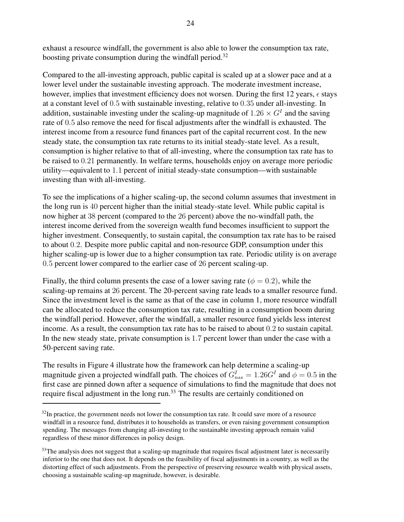exhaust a resource windfall, the government is also able to lower the consumption tax rate, boosting private consumption during the windfall period.<sup>32</sup>

Compared to the all-investing approach, public capital is scaled up at a slower pace and at a lower level under the sustainable investing approach. The moderate investment increase, however, implies that investment efficiency does not worsen. During the first 12 years,  $\epsilon$  stays at a constant level of 0.5 with sustainable investing, relative to 0.35 under all-investing. In addition, sustainable investing under the scaling-up magnitude of  $1.26 \times G<sup>I</sup>$  and the saving rate of 0.5 also remove the need for fiscal adjustments after the windfall is exhausted. The interest income from a resource fund finances part of the capital recurrent cost. In the new steady state, the consumption tax rate returns to its initial steady-state level. As a result, consumption is higher relative to that of all-investing, where the consumption tax rate has to be raised to 0.21 permanently. In welfare terms, households enjoy on average more periodic utility—equivalent to 1.1 percent of initial steady-state consumption—with sustainable investing than with all-investing.

To see the implications of a higher scaling-up, the second column assumes that investment in the long run is 40 percent higher than the initial steady-state level. While public capital is now higher at 38 percent (compared to the 26 percent) above the no-windfall path, the interest income derived from the sovereign wealth fund becomes insufficient to support the higher investment. Consequently, to sustain capital, the consumption tax rate has to be raised to about 0.2. Despite more public capital and non-resource GDP, consumption under this higher scaling-up is lower due to a higher consumption tax rate. Periodic utility is on average 0.5 percent lower compared to the earlier case of 26 percent scaling-up.

Finally, the third column presents the case of a lower saving rate ( $\phi = 0.2$ ), while the scaling-up remains at 26 percent. The 20-percent saving rate leads to a smaller resource fund. Since the investment level is the same as that of the case in column 1, more resource windfall can be allocated to reduce the consumption tax rate, resulting in a consumption boom during the windfall period. However, after the windfall, a smaller resource fund yields less interest income. As a result, the consumption tax rate has to be raised to about 0.2 to sustain capital. In the new steady state, private consumption is 1.7 percent lower than under the case with a 50-percent saving rate.

The results in Figure 4 illustrate how the framework can help determine a scaling-up magnitude given a projected windfall path. The choices of  $G_{nss}^I = 1.26G^I$  and  $\phi = 0.5$  in the first case are pinned down after a sequence of simulations to find the magnitude that does not require fiscal adjustment in the long run.<sup>33</sup> The results are certainly conditioned on

 $32$ In practice, the government needs not lower the consumption tax rate. It could save more of a resource windfall in a resource fund, distributes it to households as transfers, or even raising government consumption spending. The messages from changing all-investing to the sustainable investing approach remain valid regardless of these minor differences in policy design.

 $33$ The analysis does not suggest that a scaling-up magnitude that requires fiscal adjustment later is necessarily inferior to the one that does not. It depends on the feasibility of fiscal adjustments in a country, as well as the distorting effect of such adjustments. From the perspective of preserving resource wealth with physical assets, choosing a sustainable scaling-up magnitude, however, is desirable.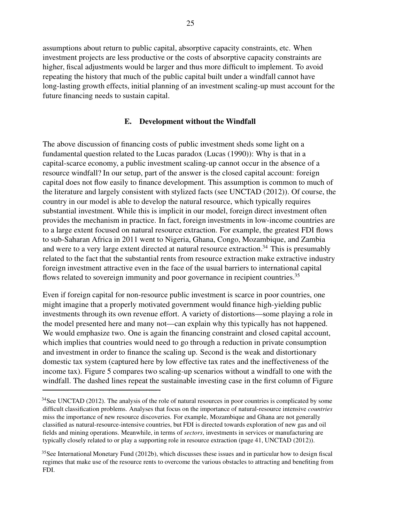assumptions about return to public capital, absorptive capacity constraints, etc. When investment projects are less productive or the costs of absorptive capacity constraints are higher, fiscal adjustments would be larger and thus more difficult to implement. To avoid repeating the history that much of the public capital built under a windfall cannot have long-lasting growth effects, initial planning of an investment scaling-up must account for the future financing needs to sustain capital.

# E. Development without the Windfall

The above discussion of financing costs of public investment sheds some light on a fundamental question related to the Lucas paradox (Lucas (1990)): Why is that in a capital-scarce economy, a public investment scaling-up cannot occur in the absence of a resource windfall? In our setup, part of the answer is the closed capital account: foreign capital does not flow easily to finance development. This assumption is common to much of the literature and largely consistent with stylized facts (see UNCTAD (2012)). Of course, the country in our model is able to develop the natural resource, which typically requires substantial investment. While this is implicit in our model, foreign direct investment often provides the mechanism in practice. In fact, foreign investments in low-income countries are to a large extent focused on natural resource extraction. For example, the greatest FDI flows to sub-Saharan Africa in 2011 went to Nigeria, Ghana, Congo, Mozambique, and Zambia and were to a very large extent directed at natural resource extraction.<sup>34</sup> This is presumably related to the fact that the substantial rents from resource extraction make extractive industry foreign investment attractive even in the face of the usual barriers to international capital flows related to sovereign immunity and poor governance in recipient countries.<sup>35</sup>

Even if foreign capital for non-resource public investment is scarce in poor countries, one might imagine that a properly motivated government would finance high-yielding public investments through its own revenue effort. A variety of distortions—some playing a role in the model presented here and many not—can explain why this typically has not happened. We would emphasize two. One is again the financing constraint and closed capital account, which implies that countries would need to go through a reduction in private consumption and investment in order to finance the scaling up. Second is the weak and distortionary domestic tax system (captured here by low effective tax rates and the ineffectiveness of the income tax). Figure 5 compares two scaling-up scenarios without a windfall to one with the windfall. The dashed lines repeat the sustainable investing case in the first column of Figure

 $34$ See UNCTAD (2012). The analysis of the role of natural resources in poor countries is complicated by some difficult classification problems. Analyses that focus on the importance of natural-resource intensive *countries* miss the importance of new resource discoveries. For example, Mozambique and Ghana are not generally classified as natural-resource-intensive countries, but FDI is directed towards exploration of new gas and oil fields and mining operations. Meanwhile, in terms of sectors, investments in services or manufacturing are typically closely related to or play a supporting role in resource extraction (page 41, UNCTAD (2012)).

 $35$ See International Monetary Fund (2012b), which discusses these issues and in particular how to design fiscal regimes that make use of the resource rents to overcome the various obstacles to attracting and benefiting from FDI.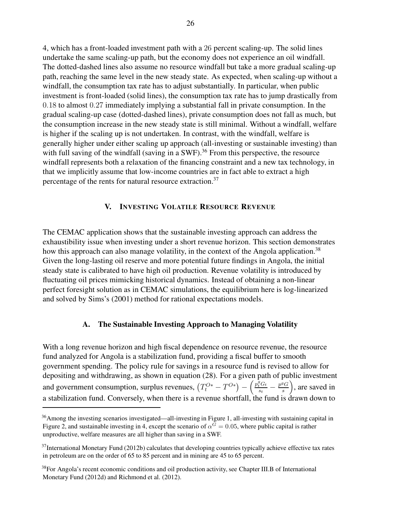4, which has a front-loaded investment path with a 26 percent scaling-up. The solid lines undertake the same scaling-up path, but the economy does not experience an oil windfall. The dotted-dashed lines also assume no resource windfall but take a more gradual scaling-up path, reaching the same level in the new steady state. As expected, when scaling-up without a windfall, the consumption tax rate has to adjust substantially. In particular, when public investment is front-loaded (solid lines), the consumption tax rate has to jump drastically from 0.18 to almost 0.27 immediately implying a substantial fall in private consumption. In the gradual scaling-up case (dotted-dashed lines), private consumption does not fall as much, but the consumption increase in the new steady state is still minimal. Without a windfall, welfare is higher if the scaling up is not undertaken. In contrast, with the windfall, welfare is generally higher under either scaling up approach (all-investing or sustainable investing) than with full saving of the windfall (saving in a SWF).<sup>36</sup> From this perspective, the resource windfall represents both a relaxation of the financing constraint and a new tax technology, in that we implicitly assume that low-income countries are in fact able to extract a high percentage of the rents for natural resource extraction.<sup>37</sup>

# V. INVESTING VOLATILE RESOURCE REVENUE

The CEMAC application shows that the sustainable investing approach can address the exhaustibility issue when investing under a short revenue horizon. This section demonstrates how this approach can also manage volatility, in the context of the Angola application.<sup>38</sup> Given the long-lasting oil reserve and more potential future findings in Angola, the initial steady state is calibrated to have high oil production. Revenue volatility is introduced by fluctuating oil prices mimicking historical dynamics. Instead of obtaining a non-linear perfect foresight solution as in CEMAC simulations, the equilibrium here is log-linearized and solved by Sims's (2001) method for rational expectations models.

# A. The Sustainable Investing Approach to Managing Volatility

With a long revenue horizon and high fiscal dependence on resource revenue, the resource fund analyzed for Angola is a stabilization fund, providing a fiscal buffer to smooth government spending. The policy rule for savings in a resource fund is revised to allow for depositing and withdrawing, as shown in equation (28). For a given path of public investment and government consumption, surplus revenues,  $(T_t^{O*} - T^{O*}) - \left(\frac{p_t^g G_t}{s_t}\right)^g$  $\frac{g}{s_t}G_t - \frac{p^g G}{s}$ s , are saved in a stabilization fund. Conversely, when there is a revenue shortfall, the fund is drawn down to

 $36$ Among the investing scenarios investigated—all-investing in Figure 1, all-investing with sustaining capital in Figure 2, and sustainable investing in 4, except the scenario of  $\alpha^G = 0.05$ , where public capital is rather unproductive, welfare measures are all higher than saving in a SWF.

 $37$ International Monetary Fund (2012b) calculates that developing countries typically achieve effective tax rates in petroleum are on the order of 65 to 85 percent and in mining are 45 to 65 percent.

<sup>&</sup>lt;sup>38</sup>For Angola's recent economic conditions and oil production activity, see Chapter III.B of International Monetary Fund (2012d) and Richmond et al. (2012).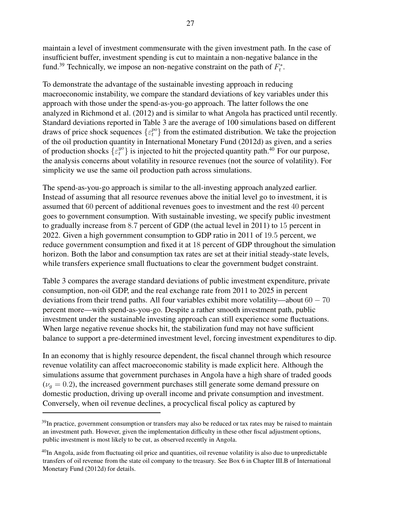maintain a level of investment commensurate with the given investment path. In the case of insufficient buffer, investment spending is cut to maintain a non-negative balance in the fund.<sup>39</sup> Technically, we impose an non-negative constraint on the path of  $F_t^*$  $_t^*$  .

To demonstrate the advantage of the sustainable investing approach in reducing macroeconomic instability, we compare the standard deviations of key variables under this approach with those under the spend-as-you-go approach. The latter follows the one analyzed in Richmond et al. (2012) and is similar to what Angola has practiced until recently. Standard deviations reported in Table 3 are the average of 100 simulations based on different draws of price shock sequences  $\{\varepsilon_t^{po}\}$  from the estimated distribution. We take the projection of the oil production quantity in International Monetary Fund (2012d) as given, and a series of production shocks  $\{\varepsilon_t^{yo}\}$  is injected to hit the projected quantity path.<sup>40</sup> For our purpose, the analysis concerns about volatility in resource revenues (not the source of volatility). For simplicity we use the same oil production path across simulations.

The spend-as-you-go approach is similar to the all-investing approach analyzed earlier. Instead of assuming that all resource revenues above the initial level go to investment, it is assumed that 60 percent of additional revenues goes to investment and the rest 40 percent goes to government consumption. With sustainable investing, we specify public investment to gradually increase from 8.7 percent of GDP (the actual level in 2011) to 15 percent in 2022. Given a high government consumption to GDP ratio in 2011 of 19.5 percent, we reduce government consumption and fixed it at 18 percent of GDP throughout the simulation horizon. Both the labor and consumption tax rates are set at their initial steady-state levels, while transfers experience small fluctuations to clear the government budget constraint.

Table 3 compares the average standard deviations of public investment expenditure, private consumption, non-oil GDP, and the real exchange rate from 2011 to 2025 in percent deviations from their trend paths. All four variables exhibit more volatility—about  $60 - 70$ percent more—with spend-as-you-go. Despite a rather smooth investment path, public investment under the sustainable investing approach can still experience some fluctuations. When large negative revenue shocks hit, the stabilization fund may not have sufficient balance to support a pre-determined investment level, forcing investment expenditures to dip.

In an economy that is highly resource dependent, the fiscal channel through which resource revenue volatility can affect macroeconomic stability is made explicit here. Although the simulations assume that government purchases in Angola have a high share of traded goods  $(\nu_q = 0.2)$ , the increased government purchases still generate some demand pressure on domestic production, driving up overall income and private consumption and investment. Conversely, when oil revenue declines, a procyclical fiscal policy as captured by

 $39$ In practice, government consumption or transfers may also be reduced or tax rates may be raised to maintain an investment path. However, given the implementation difficulty in these other fiscal adjustment options, public investment is most likely to be cut, as observed recently in Angola.

<sup>&</sup>lt;sup>40</sup>In Angola, aside from fluctuating oil price and quantities, oil revenue volatility is also due to unpredictable transfers of oil revenue from the state oil company to the treasury. See Box 6 in Chapter III.B of International Monetary Fund (2012d) for details.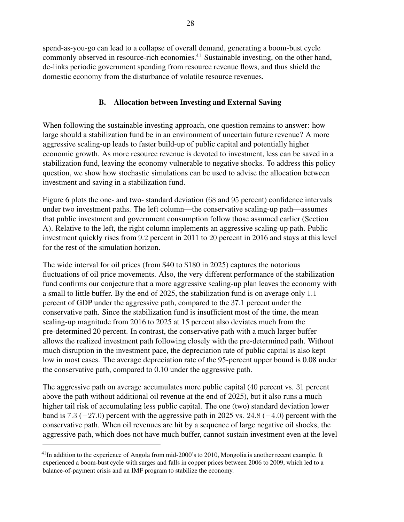spend-as-you-go can lead to a collapse of overall demand, generating a boom-bust cycle commonly observed in resource-rich economies.<sup>41</sup> Sustainable investing, on the other hand, de-links periodic government spending from resource revenue flows, and thus shield the domestic economy from the disturbance of volatile resource revenues.

# B. Allocation between Investing and External Saving

When following the sustainable investing approach, one question remains to answer: how large should a stabilization fund be in an environment of uncertain future revenue? A more aggressive scaling-up leads to faster build-up of public capital and potentially higher economic growth. As more resource revenue is devoted to investment, less can be saved in a stabilization fund, leaving the economy vulnerable to negative shocks. To address this policy question, we show how stochastic simulations can be used to advise the allocation between investment and saving in a stabilization fund.

Figure 6 plots the one- and two- standard deviation (68 and 95 percent) confidence intervals under two investment paths. The left column—the conservative scaling-up path—assumes that public investment and government consumption follow those assumed earlier (Section A). Relative to the left, the right column implements an aggressive scaling-up path. Public investment quickly rises from 9.2 percent in 2011 to 20 percent in 2016 and stays at this level for the rest of the simulation horizon.

The wide interval for oil prices (from \$40 to \$180 in 2025) captures the notorious fluctuations of oil price movements. Also, the very different performance of the stabilization fund confirms our conjecture that a more aggressive scaling-up plan leaves the economy with a small to little buffer. By the end of 2025, the stabilization fund is on average only 1.1 percent of GDP under the aggressive path, compared to the 37.1 percent under the conservative path. Since the stabilization fund is insufficient most of the time, the mean scaling-up magnitude from 2016 to 2025 at 15 percent also deviates much from the pre-determined 20 percent. In contrast, the conservative path with a much larger buffer allows the realized investment path following closely with the pre-determined path. Without much disruption in the investment pace, the depreciation rate of public capital is also kept low in most cases. The average depreciation rate of the 95-percent upper bound is 0.08 under the conservative path, compared to 0.10 under the aggressive path.

The aggressive path on average accumulates more public capital (40 percent vs. 31 percent above the path without additional oil revenue at the end of 2025), but it also runs a much higher tail risk of accumulating less public capital. The one (two) standard deviation lower band is 7.3 ( $-27.0$ ) percent with the aggressive path in 2025 vs. 24.8 ( $-4.0$ ) percent with the conservative path. When oil revenues are hit by a sequence of large negative oil shocks, the aggressive path, which does not have much buffer, cannot sustain investment even at the level

 $^{41}$ In addition to the experience of Angola from mid-2000's to 2010, Mongolia is another recent example. It experienced a boom-bust cycle with surges and falls in copper prices between 2006 to 2009, which led to a balance-of-payment crisis and an IMF program to stabilize the economy.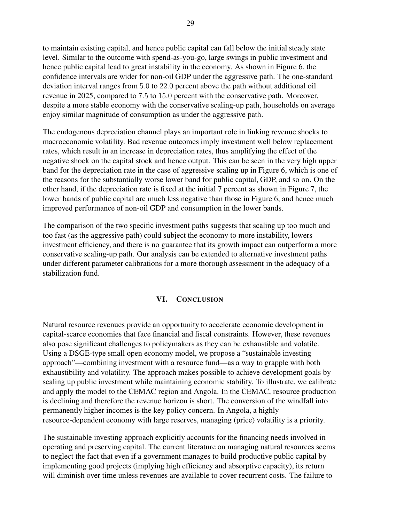to maintain existing capital, and hence public capital can fall below the initial steady state level. Similar to the outcome with spend-as-you-go, large swings in public investment and hence public capital lead to great instability in the economy. As shown in Figure 6, the confidence intervals are wider for non-oil GDP under the aggressive path. The one-standard deviation interval ranges from 5.0 to 22.0 percent above the path without additional oil revenue in 2025, compared to 7.5 to 15.0 percent with the conservative path. Moreover, despite a more stable economy with the conservative scaling-up path, households on average enjoy similar magnitude of consumption as under the aggressive path.

The endogenous depreciation channel plays an important role in linking revenue shocks to macroeconomic volatility. Bad revenue outcomes imply investment well below replacement rates, which result in an increase in depreciation rates, thus amplifying the effect of the negative shock on the capital stock and hence output. This can be seen in the very high upper band for the depreciation rate in the case of aggressive scaling up in Figure 6, which is one of the reasons for the substantially worse lower band for public capital, GDP, and so on. On the other hand, if the depreciation rate is fixed at the initial 7 percent as shown in Figure 7, the lower bands of public capital are much less negative than those in Figure 6, and hence much improved performance of non-oil GDP and consumption in the lower bands.

The comparison of the two specific investment paths suggests that scaling up too much and too fast (as the aggressive path) could subject the economy to more instability, lowers investment efficiency, and there is no guarantee that its growth impact can outperform a more conservative scaling-up path. Our analysis can be extended to alternative investment paths under different parameter calibrations for a more thorough assessment in the adequacy of a stabilization fund.

# VI. CONCLUSION

Natural resource revenues provide an opportunity to accelerate economic development in capital-scarce economies that face financial and fiscal constraints. However, these revenues also pose significant challenges to policymakers as they can be exhaustible and volatile. Using a DSGE-type small open economy model, we propose a "sustainable investing approach"—combining investment with a resource fund—as a way to grapple with both exhaustibility and volatility. The approach makes possible to achieve development goals by scaling up public investment while maintaining economic stability. To illustrate, we calibrate and apply the model to the CEMAC region and Angola. In the CEMAC, resource production is declining and therefore the revenue horizon is short. The conversion of the windfall into permanently higher incomes is the key policy concern. In Angola, a highly resource-dependent economy with large reserves, managing (price) volatility is a priority.

The sustainable investing approach explicitly accounts for the financing needs involved in operating and preserving capital. The current literature on managing natural resources seems to neglect the fact that even if a government manages to build productive public capital by implementing good projects (implying high efficiency and absorptive capacity), its return will diminish over time unless revenues are available to cover recurrent costs. The failure to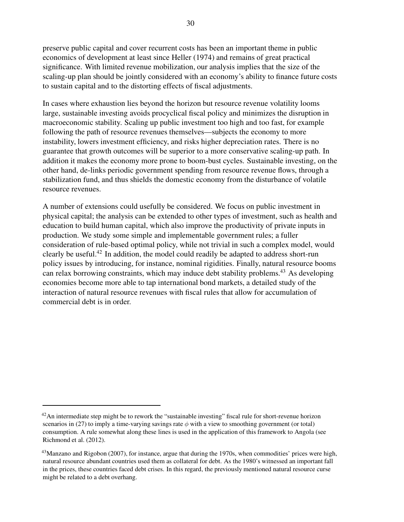preserve public capital and cover recurrent costs has been an important theme in public economics of development at least since Heller (1974) and remains of great practical significance. With limited revenue mobilization, our analysis implies that the size of the scaling-up plan should be jointly considered with an economy's ability to finance future costs to sustain capital and to the distorting effects of fiscal adjustments.

In cases where exhaustion lies beyond the horizon but resource revenue volatility looms large, sustainable investing avoids procyclical fiscal policy and minimizes the disruption in macroeconomic stability. Scaling up public investment too high and too fast, for example following the path of resource revenues themselves—subjects the economy to more instability, lowers investment efficiency, and risks higher depreciation rates. There is no guarantee that growth outcomes will be superior to a more conservative scaling-up path. In addition it makes the economy more prone to boom-bust cycles. Sustainable investing, on the other hand, de-links periodic government spending from resource revenue flows, through a stabilization fund, and thus shields the domestic economy from the disturbance of volatile resource revenues.

A number of extensions could usefully be considered. We focus on public investment in physical capital; the analysis can be extended to other types of investment, such as health and education to build human capital, which also improve the productivity of private inputs in production. We study some simple and implementable government rules; a fuller consideration of rule-based optimal policy, while not trivial in such a complex model, would clearly be useful.<sup>42</sup> In addition, the model could readily be adapted to address short-run policy issues by introducing, for instance, nominal rigidities. Finally, natural resource booms can relax borrowing constraints, which may induce debt stability problems.<sup>43</sup> As developing economies become more able to tap international bond markets, a detailed study of the interaction of natural resource revenues with fiscal rules that allow for accumulation of commercial debt is in order.

 $^{42}$ An intermediate step might be to rework the "sustainable investing" fiscal rule for short-revenue horizon scenarios in (27) to imply a time-varying savings rate  $\phi$  with a view to smoothing government (or total) consumption. A rule somewhat along these lines is used in the application of this framework to Angola (see Richmond et al. (2012).

<sup>&</sup>lt;sup>43</sup>Manzano and Rigobon (2007), for instance, argue that during the 1970s, when commodities' prices were high, natural resource abundant countries used them as collateral for debt. As the 1980's witnessed an important fall in the prices, these countries faced debt crises. In this regard, the previously mentioned natural resource curse might be related to a debt overhang.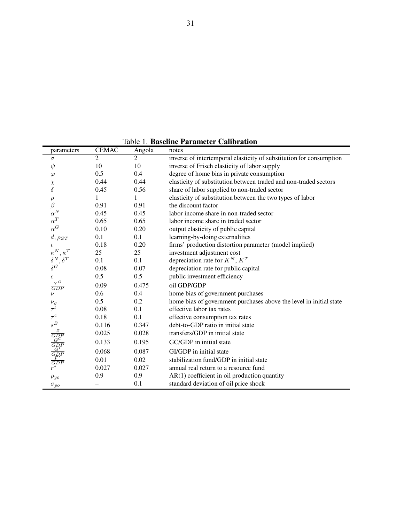Table 1. Baseline Parameter Calibration

| parameters                                                                                              | <b>CEMAC</b>   | Angola         | notes                                                               |
|---------------------------------------------------------------------------------------------------------|----------------|----------------|---------------------------------------------------------------------|
| $\sigma$                                                                                                | $\overline{2}$ | $\overline{2}$ | inverse of intertemporal elasticity of substitution for consumption |
| $\psi$                                                                                                  | 10             | 10             | inverse of Frisch elasticity of labor supply                        |
| $\varphi$                                                                                               | 0.5            | 0.4            | degree of home bias in private consumption                          |
| $\chi$                                                                                                  | 0.44           | 0.44           | elasticity of substitution between traded and non-traded sectors    |
| $\delta$                                                                                                | 0.45           | 0.56           | share of labor supplied to non-traded sector                        |
| $\rho$                                                                                                  | 1              | 1              | elasticity of substitution between the two types of labor           |
| $\beta$                                                                                                 | 0.91           | 0.91           | the discount factor                                                 |
| $\alpha^N$                                                                                              | 0.45           | 0.45           | labor income share in non-traded sector                             |
| $\alpha^T$                                                                                              | 0.65           | 0.65           | labor income share in traded sector                                 |
| $\alpha^G$                                                                                              | 0.10           | 0.20           | output elasticity of public capital                                 |
| $d, \rho_{ZT}$                                                                                          | 0.1            | 0.1            | learning-by-doing externalities                                     |
| $\iota$                                                                                                 | 0.18           | 0.20           | firms' production distortion parameter (model implied)              |
| $\overset{\ \ \kappa^N}{\delta^N},\overset{\ \ \kappa^T}{\delta^T}$                                     | 25             | 25             | investment adjustment cost                                          |
| $\delta^{G}{}^{, \stackrel{\circ}{\delta^{T}}}$                                                         | 0.1            | 0.1            | depreciation rate for $K^N, K^T$                                    |
|                                                                                                         | 0.08           | 0.07           | depreciation rate for public capital                                |
| $\epsilon$                                                                                              | 0.5            | 0.5            | public investment efficiency                                        |
| $\frac{Y^O}{GDP}$                                                                                       | 0.09           | 0.475          | oil GDP/GDP                                                         |
| $\nu$                                                                                                   | 0.6            | 0.4            | home bias of government purchases                                   |
| $\nu_g$                                                                                                 | 0.5            | 0.2            | home bias of government purchases above the level in initial state  |
| $\tau^{\tilde{l}}$                                                                                      | 0.08           | 0.1            | effective labor tax rates                                           |
| $\tau ^{c}$                                                                                             | 0.18           | 0.1            | effective consumption tax rates                                     |
| $s^B\!$                                                                                                 | 0.116          | 0.347          | debt-to-GDP ratio in initial state                                  |
|                                                                                                         | 0.025          | 0.028          | transfers/GDP in initial state                                      |
|                                                                                                         | 0.133          | 0.195          | GC/GDP in initial state                                             |
| $\begin{array}{c}\frac{Z}{GDP} \\ \frac{G}{GDP} \\ \frac{G}{GDP} \\ \frac{F^*}{GDP} \\ r^* \end{array}$ | 0.068          | 0.087          | GI/GDP in initial state                                             |
|                                                                                                         | 0.01           | 0.02           | stabilization fund/GDP in initial state                             |
|                                                                                                         | 0.027          | 0.027          | annual real return to a resource fund                               |
| $\rho_{yo}$                                                                                             | 0.9            | 0.9            | $AR(1)$ coefficient in oil production quantity                      |
| $\sigma_{po}$                                                                                           |                | 0.1            | standard deviation of oil price shock                               |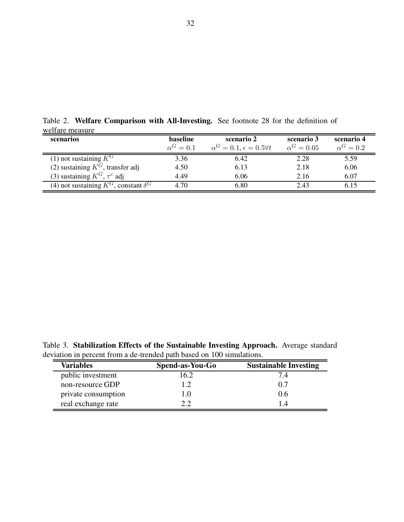| <u>MOITAIO MOATHO</u>                          |                |                                            |                 |                |  |
|------------------------------------------------|----------------|--------------------------------------------|-----------------|----------------|--|
| scenarios                                      | baseline       | scenario 2                                 | scenario 3      | scenario 4     |  |
|                                                | $\alpha^G=0.1$ | $\alpha^G = 0.1, \epsilon = 0.5 \forall t$ | $\alpha^G=0.05$ | $\alpha^G=0.2$ |  |
| (1) not sustaining $K^G$                       | 3.36           | 6.42                                       | 2.28            | 5.59           |  |
| (2) sustaining $K^G$ , transfer adj            | 4.50           | 6.13                                       | 2.18            | 6.06           |  |
| (3) sustaining $K^G$ , $\tau^c$ adj            | 4.49           | 6.06                                       | 2.16            | 6.07           |  |
| (4) not sustaining $K^G$ , constant $\delta^G$ | 4.70           | 6.80                                       | 2.43            | 6.15           |  |

Table 2. Welfare Comparison with All-Investing. See footnote 28 for the definition of welfare measure

Table 3. Stabilization Effects of the Sustainable Investing Approach. Average standard deviation in percent from a de-trended path based on 100 simulations.

| <b>Variables</b>    | Spend-as-You-Go | <b>Sustainable Investing</b> |
|---------------------|-----------------|------------------------------|
| public investment   | 16.2            |                              |
| non-resource GDP    | 1.2             | 0.7                          |
| private consumption | 1.O             | 0.6                          |
| real exchange rate  |                 | l 4                          |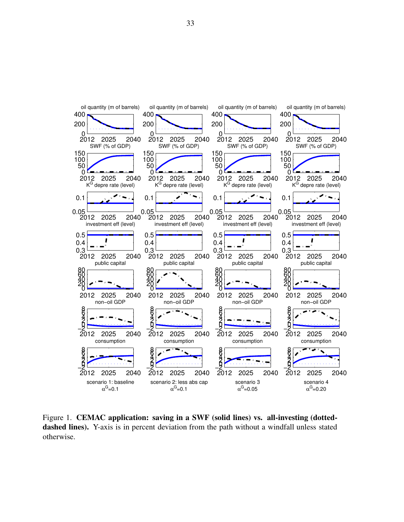

Figure 1. CEMAC application: saving in a SWF (solid lines) vs. all-investing (dotteddashed lines). Y-axis is in percent deviation from the path without a windfall unless stated otherwise.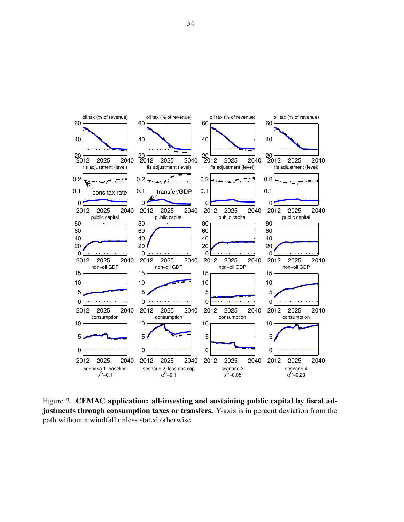

Figure 2. CEMAC application: all-investing and sustaining public capital by fiscal adjustments through consumption taxes or transfers. Y-axis is in percent deviation from the path without a windfall unless stated otherwise.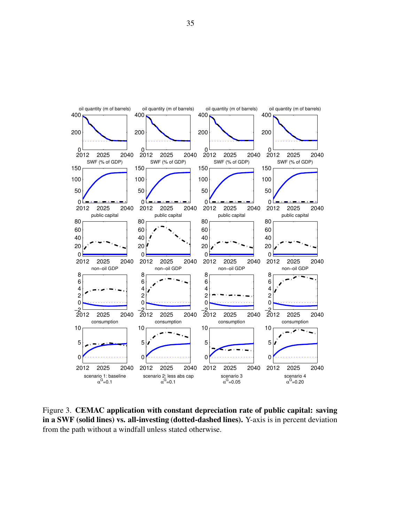

Figure 3. CEMAC application with constant depreciation rate of public capital: saving in a SWF (solid lines) vs. all-investing (dotted-dashed lines). Y-axis is in percent deviation from the path without a windfall unless stated otherwise.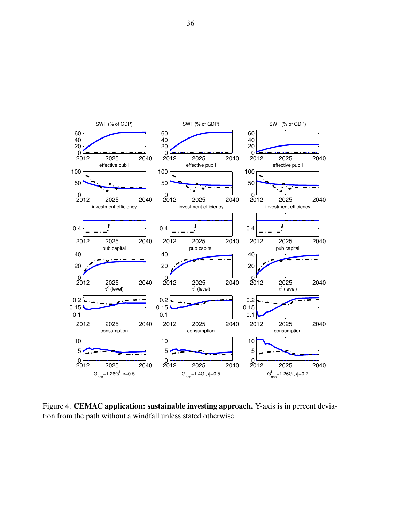

Figure 4. CEMAC application: sustainable investing approach. Y-axis is in percent deviation from the path without a windfall unless stated otherwise.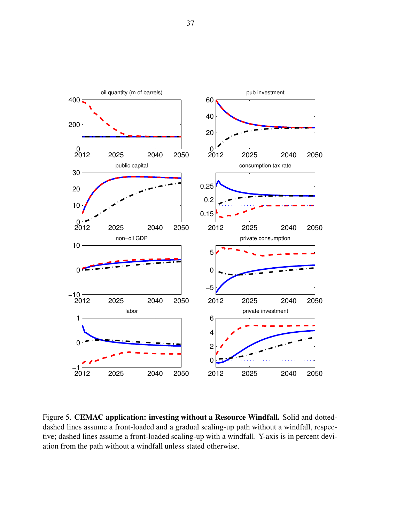

Figure 5. CEMAC application: investing without a Resource Windfall. Solid and dotteddashed lines assume a front-loaded and a gradual scaling-up path without a windfall, respective; dashed lines assume a front-loaded scaling-up with a windfall. Y-axis is in percent deviation from the path without a windfall unless stated otherwise.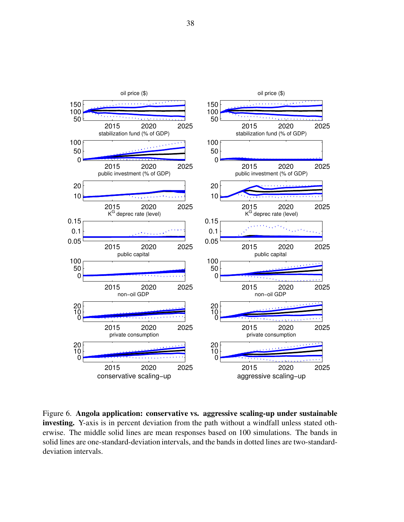

Figure 6. Angola application: conservative vs. aggressive scaling-up under sustainable investing. Y-axis is in percent deviation from the path without a windfall unless stated otherwise. The middle solid lines are mean responses based on 100 simulations. The bands in solid lines are one-standard-deviation intervals, and the bands in dotted lines are two-standarddeviation intervals.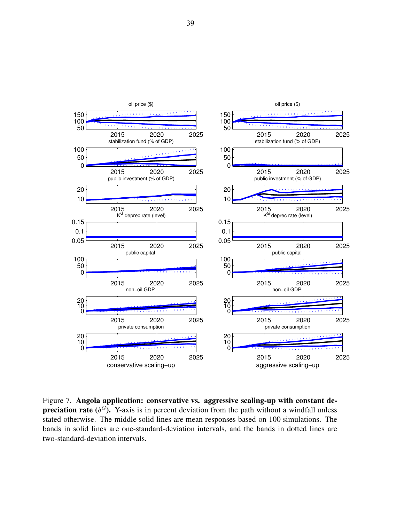

Figure 7. Angola application: conservative vs. aggressive scaling-up with constant de**preciation rate** ( $\delta^G$ ). Y-axis is in percent deviation from the path without a windfall unless stated otherwise. The middle solid lines are mean responses based on 100 simulations. The bands in solid lines are one-standard-deviation intervals, and the bands in dotted lines are two-standard-deviation intervals.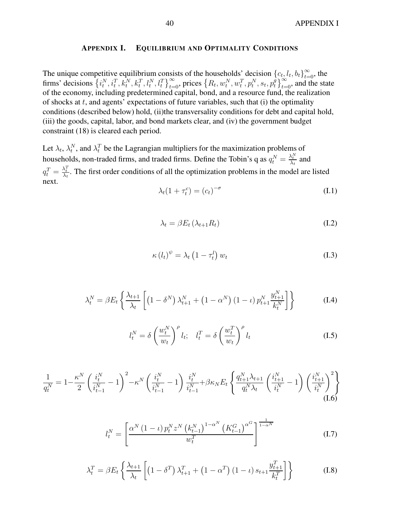#### APPENDIX I. EQUILIBRIUM AND OPTIMALITY CONDITIONS

The unique competitive equilibrium consists of the households' decision  ${c_t, l_t, b_t}_{t=0}^{\infty}$ , the firms' decisions  $\{i_t^N, i_t^T, k_t^N, k_t^T, l_t^N, l_t^T\}_{t=0}^{\infty}$ , prices  $\{R_t, w_t^N, w_t^T, p_t^N, s_t, p_t^g\}$  $\begin{bmatrix} e_t^{\theta}, e_t^{\theta}, e_t^{\theta} \end{bmatrix}_{t=0}^{\infty}$ , and the state of the economy, including predetermined capital, bond, and a resource fund, the realization of shocks at  $t$ , and agents' expectations of future variables, such that  $(i)$  the optimality conditions (described below) hold, (ii)the transversality conditions for debt and capital hold, (iii) the goods, capital, labor, and bond markets clear, and (iv) the government budget constraint (18) is cleared each period.

Let  $\lambda_t$ ,  $\lambda_t^N$ , and  $\lambda_t^T$  be the Lagrangian multipliers for the maximization problems of households, non-traded firms, and traded firms. Define the Tobin's q as  $q_t^N = \frac{\lambda_t^N}{\lambda_t}$  and  $q_t^T = \frac{\lambda_t^T}{\lambda_t}$ . The first order conditions of all the optimization problems in the model are listed next.

$$
\lambda_t (1 + \tau_t^c) = (c_t)^{-\sigma} \tag{I.1}
$$

$$
\lambda_t = \beta E_t \left( \lambda_{t+1} R_t \right) \tag{I.2}
$$

$$
\kappa (l_t)^{\psi} = \lambda_t \left( 1 - \tau_t^l \right) w_t \tag{I.3}
$$

$$
\lambda_t^N = \beta E_t \left\{ \frac{\lambda_{t+1}}{\lambda_t} \left[ \left( 1 - \delta^N \right) \lambda_{t+1}^N + \left( 1 - \alpha^N \right) \left( 1 - \iota \right) p_{t+1}^N \frac{y_{t+1}^N}{k_t^N} \right] \right\}
$$
(I.4)

$$
l_t^N = \delta \left(\frac{w_t^N}{w_t}\right)^{\rho} l_t; \quad l_t^T = \delta \left(\frac{w_t^T}{w_t}\right)^{\rho} l_t \tag{I.5}
$$

$$
\frac{1}{q_t^N} = 1 - \frac{\kappa^N}{2} \left( \frac{i_t^N}{i_{t-1}^N} - 1 \right)^2 - \kappa^N \left( \frac{i_t^N}{i_{t-1}^N} - 1 \right) \frac{i_t^N}{i_{t-1}^N} + \beta \kappa_N E_t \left\{ \frac{q_{t+1}^N \lambda_{t+1}}{q_t^N \lambda_t} \left( \frac{i_{t+1}^N}{i_t^N} - 1 \right) \left( \frac{i_{t+1}^N}{i_t^N} \right)^2 \right\}
$$
\n(I.6)

$$
l_t^N = \left[ \frac{\alpha^N (1 - \iota) p_t^N z^N \left( k_{t-1}^N \right)^{1 - \alpha^N} \left( K_{t-1}^G \right)^{\alpha^G}}{w_t^T} \right]^{1 - \alpha^N}
$$
(I.7)

$$
\lambda_t^T = \beta E_t \left\{ \frac{\lambda_{t+1}}{\lambda_t} \left[ \left( 1 - \delta^T \right) \lambda_{t+1}^T + \left( 1 - \alpha^T \right) \left( 1 - \iota \right) s_{t+1} \frac{y_{t+1}^T}{k_t^T} \right] \right\}
$$
(I.8)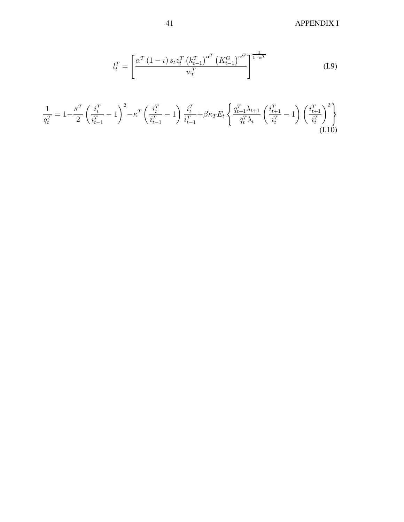41 APPENDIX I

$$
l_t^T = \left[ \frac{\alpha^T (1 - \iota) s_t z_t^T (k_{t-1}^T)^{\alpha^T} (K_{t-1}^G)^{\alpha^G}}{w_t^T} \right]^{1 - \alpha^T}
$$
(I.9)

$$
\frac{1}{q_t^T} = 1 - \frac{\kappa^T}{2} \left( \frac{i_t^T}{i_{t-1}^T} - 1 \right)^2 - \kappa^T \left( \frac{i_t^T}{i_{t-1}^T} - 1 \right) \frac{i_t^T}{i_{t-1}^T} + \beta \kappa_T E_t \left\{ \frac{q_{t+1}^T \lambda_{t+1}}{q_t^T \lambda_t} \left( \frac{i_{t+1}^T}{i_t^T} - 1 \right) \left( \frac{i_{t+1}^T}{i_t^T} \right)^2 \right\}
$$
(I.10)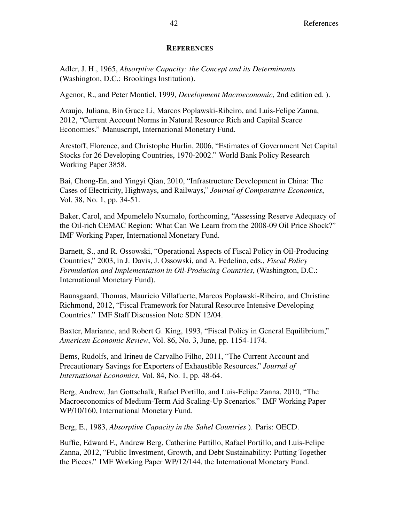#### **REFERENCES**

Adler, J. H., 1965, Absorptive Capacity: the Concept and its Determinants (Washington, D.C.: Brookings Institution).

Agenor, R., and Peter Montiel, 1999, Development Macroeconomic, 2nd edition ed. ).

Araujo, Juliana, Bin Grace Li, Marcos Poplawski-Ribeiro, and Luis-Felipe Zanna, 2012, "Current Account Norms in Natural Resource Rich and Capital Scarce Economies." Manuscript, International Monetary Fund.

Arestoff, Florence, and Christophe Hurlin, 2006, "Estimates of Government Net Capital Stocks for 26 Developing Countries, 1970-2002." World Bank Policy Research Working Paper 3858.

Bai, Chong-En, and Yingyi Qian, 2010, "Infrastructure Development in China: The Cases of Electricity, Highways, and Railways," Journal of Comparative Economics, Vol. 38, No. 1, pp. 34-51.

Baker, Carol, and Mpumelelo Nxumalo, forthcoming, "Assessing Reserve Adequacy of the Oil-rich CEMAC Region: What Can We Learn from the 2008-09 Oil Price Shock?" IMF Working Paper, International Monetary Fund.

Barnett, S., and R. Ossowski, "Operational Aspects of Fiscal Policy in Oil-Producing Countries," 2003, in J. Davis, J. Ossowski, and A. Fedelino, eds., Fiscal Policy Formulation and Implementation in Oil-Producing Countries, (Washington, D.C.: International Monetary Fund).

Baunsgaard, Thomas, Mauricio Villafuerte, Marcos Poplawski-Ribeiro, and Christine Richmond, 2012, "Fiscal Framework for Natural Resource Intensive Developing Countries." IMF Staff Discussion Note SDN 12/04.

Baxter, Marianne, and Robert G. King, 1993, "Fiscal Policy in General Equilibrium," American Economic Review, Vol. 86, No. 3, June, pp. 1154-1174.

Bems, Rudolfs, and Irineu de Carvalho Filho, 2011, "The Current Account and Precautionary Savings for Exporters of Exhaustible Resources," Journal of International Economics, Vol. 84, No. 1, pp. 48-64.

Berg, Andrew, Jan Gottschalk, Rafael Portillo, and Luis-Felipe Zanna, 2010, "The Macroeconomics of Medium-Term Aid Scaling-Up Scenarios." IMF Working Paper WP/10/160, International Monetary Fund.

Berg, E., 1983, Absorptive Capacity in the Sahel Countries ). Paris: OECD.

Buffie, Edward F., Andrew Berg, Catherine Pattillo, Rafael Portillo, and Luis-Felipe Zanna, 2012, "Public Investment, Growth, and Debt Sustainability: Putting Together the Pieces." IMF Working Paper WP/12/144, the International Monetary Fund.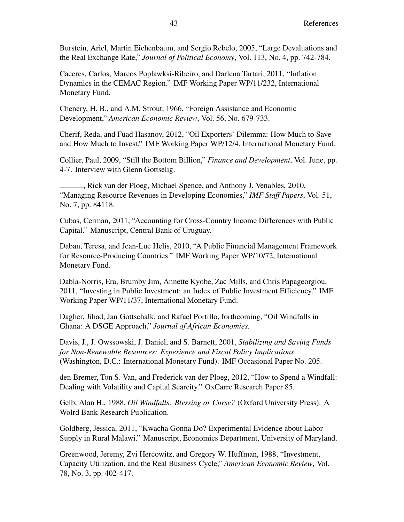Burstein, Ariel, Martin Eichenbaum, and Sergio Rebelo, 2005, "Large Devaluations and the Real Exchange Rate," Journal of Political Economy, Vol. 113, No. 4, pp. 742-784.

Caceres, Carlos, Marcos Poplawksi-Ribeiro, and Darlena Tartari, 2011, "Inflation Dynamics in the CEMAC Region." IMF Working Paper WP/11/232, International Monetary Fund.

Chenery, H. B., and A.M. Strout, 1966, "Foreign Assistance and Economic Development," American Economic Review, Vol. 56, No. 679-733.

Cherif, Reda, and Fuad Hasanov, 2012, "Oil Exporters' Dilemma: How Much to Save and How Much to Invest." IMF Working Paper WP/12/4, International Monetary Fund.

Collier, Paul, 2009, "Still the Bottom Billion," Finance and Development, Vol. June, pp. 4-7. Interview with Glenn Gottselig.

, Rick van der Ploeg, Michael Spence, and Anthony J. Venables, 2010, "Managing Resource Revenues in Developing Economies," IMF Staff Papers, Vol. 51, No. 7, pp. 84118.

Cubas, Cerman, 2011, "Accounting for Cross-Country Income Differences with Public Capital." Manuscript, Central Bank of Uruguay.

Daban, Teresa, and Jean-Luc Helis, 2010, "A Public Financial Management Framework for Resource-Producing Countries." IMF Working Paper WP/10/72, International Monetary Fund.

Dabla-Norris, Era, Brumby Jim, Annette Kyobe, Zac Mills, and Chris Papageorgiou, 2011, "Investing in Public Investment: an Index of Public Investment Efficiency." IMF Working Paper WP/11/37, International Monetary Fund.

Dagher, Jihad, Jan Gottschalk, and Rafael Portillo, forthcoming, "Oil Windfalls in Ghana: A DSGE Approach," Journal of African Economies.

Davis, J., J. Owssowski, J. Daniel, and S. Barnett, 2001, Stabilizing and Saving Funds for Non-Renewable Resources: Experience and Fiscal Policy Implications (Washington, D.C.: International Monetary Fund). IMF Occasional Paper No. 205.

den Bremer, Ton S. Van, and Frederick van der Ploeg, 2012, "How to Spend a Windfall: Dealing with Volatility and Capital Scarcity." OxCarre Research Paper 85.

Gelb, Alan H., 1988, Oil Windfalls: Blessing or Curse? (Oxford University Press). A Wolrd Bank Research Publication.

Goldberg, Jessica, 2011, "Kwacha Gonna Do? Experimental Evidence about Labor Supply in Rural Malawi." Manuscript, Economics Department, University of Maryland.

Greenwood, Jeremy, Zvi Hercowitz, and Gregory W. Huffman, 1988, "Investment, Capacity Utilization, and the Real Business Cycle," American Economic Review, Vol. 78, No. 3, pp. 402-417.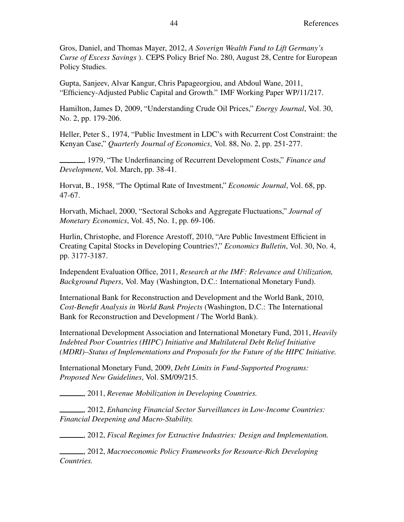Gros, Daniel, and Thomas Mayer, 2012, A Soverign Wealth Fund to Lift Germany's Curse of Excess Savings ). CEPS Policy Brief No. 280, August 28, Centre for European Policy Studies.

Gupta, Sanjeev, Alvar Kangur, Chris Papageorgiou, and Abdoul Wane, 2011, "Efficiency-Adjusted Public Capital and Growth." IMF Working Paper WP/11/217.

Hamilton, James D, 2009, "Understanding Crude Oil Prices," Energy Journal, Vol. 30, No. 2, pp. 179-206.

Heller, Peter S., 1974, "Public Investment in LDC's with Recurrent Cost Constraint: the Kenyan Case," Quarterly Journal of Economics, Vol. 88, No. 2, pp. 251-277.

, 1979, "The Underfinancing of Recurrent Development Costs," *Finance and* Development, Vol. March, pp. 38-41.

Horvat, B., 1958, "The Optimal Rate of Investment," Economic Journal, Vol. 68, pp. 47-67.

Horvath, Michael, 2000, "Sectoral Schoks and Aggregate Fluctuations," Journal of Monetary Economics, Vol. 45, No. 1, pp. 69-106.

Hurlin, Christophe, and Florence Arestoff, 2010, "Are Public Investment Efficient in Creating Capital Stocks in Developing Countries?," Economics Bulletin, Vol. 30, No. 4, pp. 3177-3187.

Independent Evaluation Office, 2011, Research at the IMF: Relevance and Utilization, Background Papers, Vol. May (Washington, D.C.: International Monetary Fund).

International Bank for Reconstruction and Development and the World Bank, 2010, Cost-Benefit Analysis in World Bank Projects (Washington, D.C.: The International Bank for Reconstruction and Development / The World Bank).

International Development Association and International Monetary Fund, 2011, Heavily Indebted Poor Countries (HIPC) Initiative and Multilateral Debt Relief Initiative (MDRI)–Status of Implementations and Proposals for the Future of the HIPC Initiative.

International Monetary Fund, 2009, Debt Limits in Fund-Supported Programs: Proposed New Guidelines, Vol. SM/09/215.

, 2011, Revenue Mobilization in Developing Countries.

, 2012, Enhancing Financial Sector Surveillances in Low-Income Countries: Financial Deepening and Macro-Stability.

, 2012, Fiscal Regimes for Extractive Industries: Design and Implementation.

, 2012, Macroeconomic Policy Frameworks for Resource-Rich Developing Countries.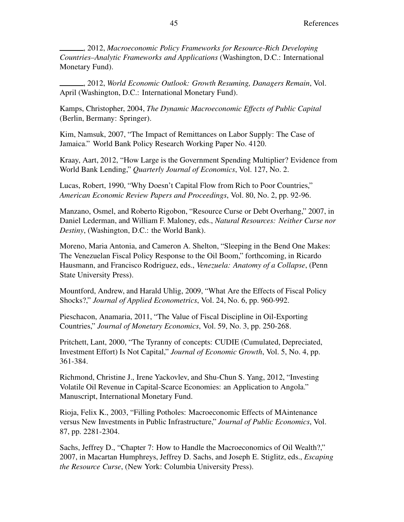, 2012, Macroeconomic Policy Frameworks for Resource-Rich Developing Countries–Analytic Frameworks and Applications (Washington, D.C.: International Monetary Fund).

, 2012, World Economic Outlook: Growth Resuming, Danagers Remain, Vol. April (Washington, D.C.: International Monetary Fund).

Kamps, Christopher, 2004, The Dynamic Macroeconomic Effects of Public Capital (Berlin, Bermany: Springer).

Kim, Namsuk, 2007, "The Impact of Remittances on Labor Supply: The Case of Jamaica." World Bank Policy Research Working Paper No. 4120.

Kraay, Aart, 2012, "How Large is the Government Spending Multiplier? Evidence from World Bank Lending," Quarterly Journal of Economics, Vol. 127, No. 2.

Lucas, Robert, 1990, "Why Doesn't Capital Flow from Rich to Poor Countries," American Economic Review Papers and Proceedings, Vol. 80, No. 2, pp. 92-96.

Manzano, Osmel, and Roberto Rigobon, "Resource Curse or Debt Overhang," 2007, in Daniel Lederman, and William F. Maloney, eds., Natural Resources: Neither Curse nor Destiny, (Washington, D.C.: the World Bank).

Moreno, Maria Antonia, and Cameron A. Shelton, "Sleeping in the Bend One Makes: The Venezuelan Fiscal Policy Response to the Oil Boom," forthcoming, in Ricardo Hausmann, and Francisco Rodriguez, eds., Venezuela: Anatomy of a Collapse, (Penn State University Press).

Mountford, Andrew, and Harald Uhlig, 2009, "What Are the Effects of Fiscal Policy Shocks?," Journal of Applied Econometrics, Vol. 24, No. 6, pp. 960-992.

Pieschacon, Anamaria, 2011, "The Value of Fiscal Discipline in Oil-Exporting Countries," Journal of Monetary Economics, Vol. 59, No. 3, pp. 250-268.

Pritchett, Lant, 2000, "The Tyranny of concepts: CUDIE (Cumulated, Depreciated, Investment Effort) Is Not Capital," Journal of Economic Growth, Vol. 5, No. 4, pp. 361-384.

Richmond, Christine J., Irene Yackovlev, and Shu-Chun S. Yang, 2012, "Investing Volatile Oil Revenue in Capital-Scarce Economies: an Application to Angola." Manuscript, International Monetary Fund.

Rioja, Felix K., 2003, "Filling Potholes: Macroeconomic Effects of MAintenance versus New Investments in Public Infrastructure," Journal of Public Economics, Vol. 87, pp. 2281-2304.

Sachs, Jeffrey D., "Chapter 7: How to Handle the Macroeconomics of Oil Wealth?," 2007, in Macartan Humphreys, Jeffrey D. Sachs, and Joseph E. Stiglitz, eds., Escaping the Resource Curse, (New York: Columbia University Press).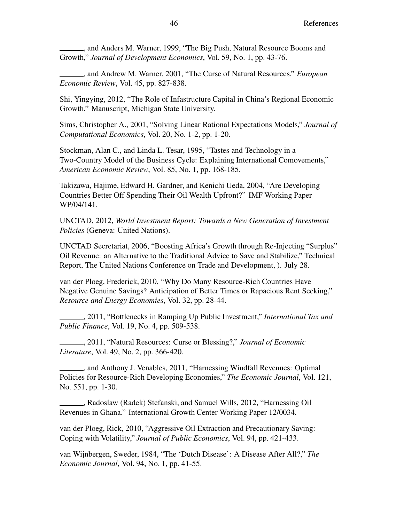, and Anders M. Warner, 1999, "The Big Push, Natural Resource Booms and Growth," Journal of Development Economics, Vol. 59, No. 1, pp. 43-76.

..., and Andrew M. Warner, 2001, "The Curse of Natural Resources," *European* Economic Review, Vol. 45, pp. 827-838.

Shi, Yingying, 2012, "The Role of Infastructure Capital in China's Regional Economic Growth." Manuscript, Michigan State University.

Sims, Christopher A., 2001, "Solving Linear Rational Expectations Models," Journal of Computational Economics, Vol. 20, No. 1-2, pp. 1-20.

Stockman, Alan C., and Linda L. Tesar, 1995, "Tastes and Technology in a Two-Country Model of the Business Cycle: Explaining International Comovements," American Economic Review, Vol. 85, No. 1, pp. 168-185.

Takizawa, Hajime, Edward H. Gardner, and Kenichi Ueda, 2004, "Are Developing Countries Better Off Spending Their Oil Wealth Upfront?" IMF Working Paper WP/04/141.

UNCTAD, 2012, World Investment Report: Towards a New Generation of Investment Policies (Geneva: United Nations).

UNCTAD Secretariat, 2006, "Boosting Africa's Growth through Re-Injecting "Surplus" Oil Revenue: an Alternative to the Traditional Advice to Save and Stabilize," Technical Report, The United Nations Conference on Trade and Development, ). July 28.

van der Ploeg, Frederick, 2010, "Why Do Many Resource-Rich Countries Have Negative Genuine Savings? Anticipation of Better Times or Rapacious Rent Seeking," Resource and Energy Economies, Vol. 32, pp. 28-44.

, 2011, "Bottlenecks in Ramping Up Public Investment," International Tax and Public Finance, Vol. 19, No. 4, pp. 509-538.

2011, "Natural Resources: Curse or Blessing?," Journal of Economic Literature, Vol. 49, No. 2, pp. 366-420.

, and Anthony J. Venables, 2011, "Harnessing Windfall Revenues: Optimal Policies for Resource-Rich Developing Economies," The Economic Journal, Vol. 121, No. 551, pp. 1-30.

, Radoslaw (Radek) Stefanski, and Samuel Wills, 2012, "Harnessing Oil Revenues in Ghana." International Growth Center Working Paper 12/0034.

van der Ploeg, Rick, 2010, "Aggressive Oil Extraction and Precautionary Saving: Coping with Volatility," Journal of Public Economics, Vol. 94, pp. 421-433.

van Wijnbergen, Sweder, 1984, "The 'Dutch Disease': A Disease After All?," The Economic Journal, Vol. 94, No. 1, pp. 41-55.